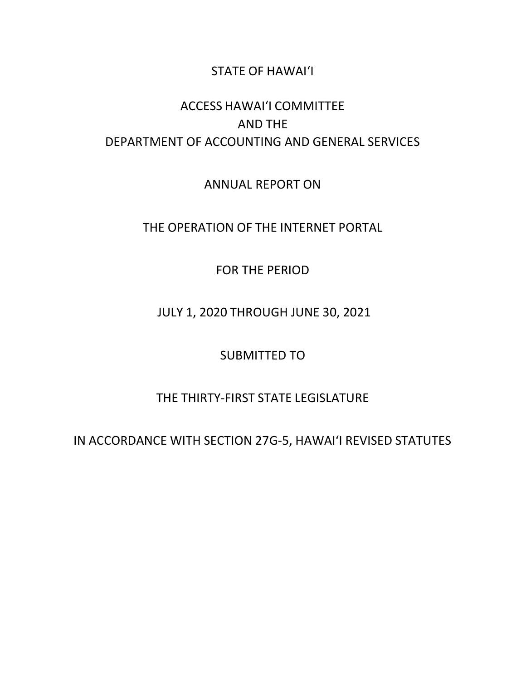### STATE OF HAWAI'I

# ACCESS HAWAI'I COMMITTEE AND THE DEPARTMENT OF ACCOUNTING AND GENERAL SERVICES

ANNUAL REPORT ON

THE OPERATION OF THE INTERNET PORTAL

FOR THE PERIOD

JULY 1, 2020 THROUGH JUNE 30, 2021

SUBMITTED TO

THE THIRTY-FIRST STATE LEGISLATURE

IN ACCORDANCE WITH SECTION 27G-5, HAWAI'I REVISED STATUTES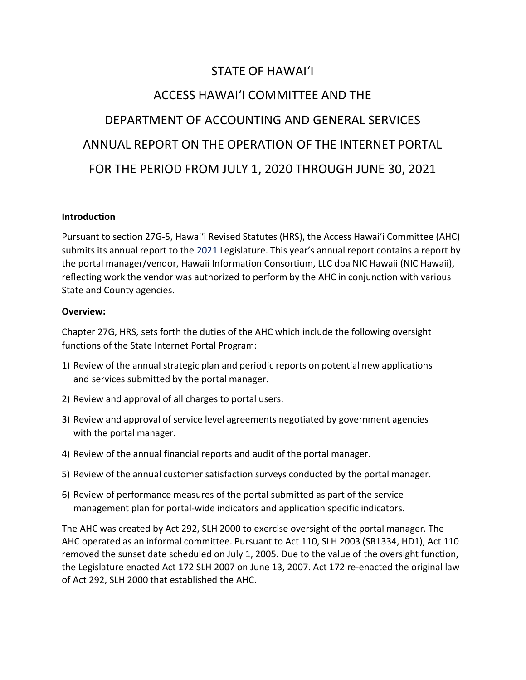# STATE OF HAWAI'I ACCESS HAWAI'I COMMITTEE AND THE DEPARTMENT OF ACCOUNTING AND GENERAL SERVICES ANNUAL REPORT ON THE OPERATION OF THE INTERNET PORTAL FOR THE PERIOD FROM JULY 1, 2020 THROUGH JUNE 30, 2021

#### **Introduction**

Pursuant to section 27G-5, Hawai'i Revised Statutes (HRS), the Access Hawai'i Committee (AHC) submits its annual report to the 2021 Legislature. This year's annual report contains a report by the portal manager/vendor, Hawaii Information Consortium, LLC dba NIC Hawaii (NIC Hawaii), reflecting work the vendor was authorized to perform by the AHC in conjunction with various State and County agencies.

#### Overview:

Chapter 27G, HRS, sets forth the duties of the AHC which include the following oversight functions of the State Internet Portal Program:

- 1) Review of the annual strategic plan and periodic reports on potential new applications and services submitted by the portal manager.
- 2) Review and approval of all charges to portal users.
- 3) Review and approval of service level agreements negotiated by government agencies with the portal manager.
- 4) Review of the annual financial reports and audit of the portal manager.
- 5) Review of the annual customer satisfaction surveys conducted by the portal manager.
- 6) Review of performance measures of the portal submitted as part of the service management plan for portal-wide indicators and application specific indicators.

The AHC was created by Act 292, SLH 2000 to exercise oversight of the portal manager. The AHC operated as an informal committee. Pursuant to Act 110, SLH 2003 (SB1334, HD1), Act 110 removed the sunset date scheduled on July 1, 2005. Due to the value of the oversight function, the Legislature enacted Act 172 SLH 2007 on June 13, 2007. Act 172 re-enacted the original law of Act 292, SLH 2000 that established the AHC.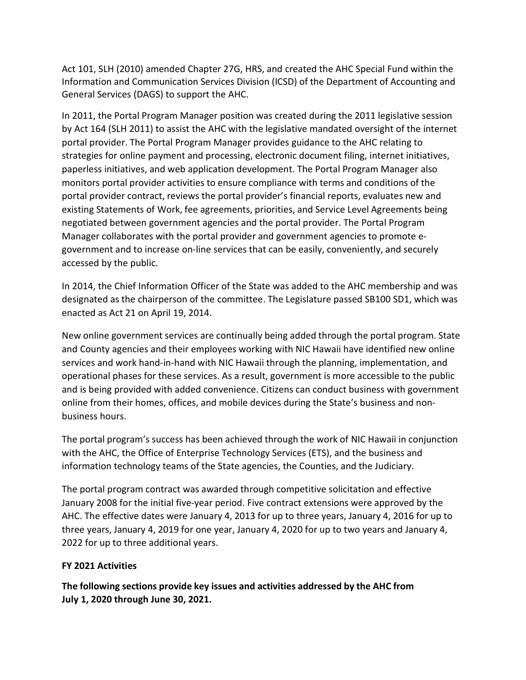Act 101, SLH (2010) amended Chapter 27G, HRS, and created the AHC Special Fund within the Information and Communication Services Division (ICSD) of the Department of Accounting and General Services (DAGS) to support the AHC.

In 2011, the Portal Program Manager position was created during the 2011 legislative session by Act 164 (SLH 2011) to assist the AHC with the legislative mandated oversight of the internet portal provider. The Portal Program Manager provides guidance to the AHC relating to strategies for online payment and processing, electronic document filing, internet initiatives, paperless initiatives, and web application development. The Portal Program Manager also monitors portal provider activities to ensure compliance with terms and conditions of the portal provider contract, reviews the portal provider's financial reports, evaluates new and existing Statements of Work, fee agreements, priorities, and Service Level Agreements being negotiated between government agencies and the portal provider. The Portal Program Manager collaborates with the portal provider and government agencies to promote egovernment and to increase on-line services that can be easily, conveniently, and securely accessed by the public.

In 2014, the Chief Information Officer of the State was added to the AHC membership and was designated as the chairperson of the committee. The Legislature passed SB100 SD1, which was enacted as Act 21 on April 19, 2014.

New online government services are continually being added through the portal program. State and County agencies and their employees working with NIC Hawaii have identified new online services and work hand-in-hand with NIC Hawaii through the planning, implementation, and operational phases for these services. As a result, government is more accessible to the public and is being provided with added convenience. Citizens can conduct business with government online from their homes, offices, and mobile devices during the State's business and nonbusiness hours.

The portal program's success has been achieved through the work of NIC Hawaii in conjunction with the AHC, the Office of Enterprise Technology Services (ETS), and the business and information technology teams of the State agencies, the Counties, and the Judiciary.

The portal program contract was awarded through competitive solicitation and effective January 2008 for the initial five-year period. Five contract extensions were approved by the AHC. The effective dates were January 4, 2013 for up to three years, January 4, 2016 for up to three years, January 4, 2019 for one year, January 4, 2020 for up to two years and January 4, 2022 for up to three additional years.

#### FY 2021 Activities

The following sections provide key issues and activities addressed by the AHC from July 1, 2020 through June 30, 2021.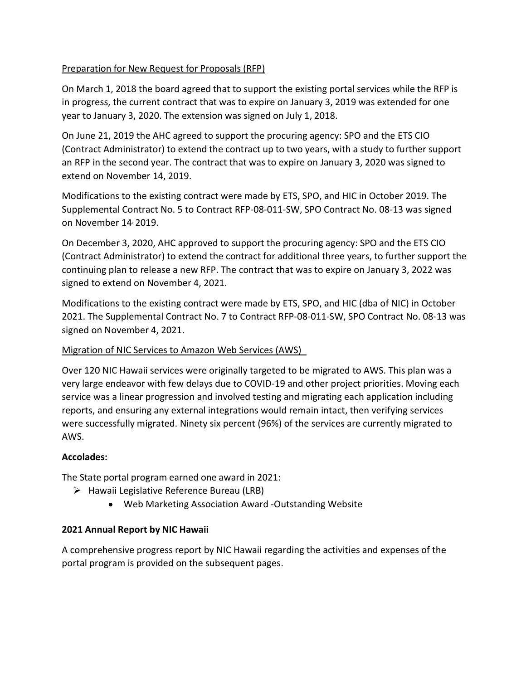#### Preparation for New Request for Proposals (RFP)

On March 1, 2018 the board agreed that to support the existing portal services while the RFP is in progress, the current contract that was to expire on January 3, 2019 was extended for one year to January 3, 2020. The extension was signed on July 1, 2018.

On June 21, 2019 the AHC agreed to support the procuring agency: SPO and the ETS CIO (Contract Administrator) to extend the contract up to two years, with a study to further support an RFP in the second year. The contract that was to expire on January 3, 2020 was signed to extend on November 14, 2019.

Modifications to the existing contract were made by ETS, SPO, and HIC in October 2019. The Supplemental Contract No. 5 to Contract RFP-08-011-SW, SPO Contract No. 08-13 was signed on November 14, 2019.

On December 3, 2020, AHC approved to support the procuring agency: SPO and the ETS CIO (Contract Administrator) to extend the contract for additional three years, to further support the continuing plan to release a new RFP. The contract that was to expire on January 3, 2022 was signed to extend on November 4, 2021.

Modifications to the existing contract were made by ETS, SPO, and HIC (dba of NIC) in October 2021. The Supplemental Contract No. 7 to Contract RFP-08-011-SW, SPO Contract No. 08-13 was signed on November 4, 2021.

#### Migration of NIC Services to Amazon Web Services (AWS)

Over 120 NIC Hawaii services were originally targeted to be migrated to AWS. This plan was a very large endeavor with few delays due to COVID-19 and other project priorities. Moving each service was a linear progression and involved testing and migrating each application including reports, and ensuring any external integrations would remain intact, then verifying services were successfully migrated. Ninety six percent (96%) of the services are currently migrated to AWS.

#### Accolades:

The State portal program earned one award in 2021:

- $\triangleright$  Hawaii Legislative Reference Bureau (LRB)
	- Web Marketing Association Award -Outstanding Website

#### 2021 Annual Report by NIC Hawaii

A comprehensive progress report by NIC Hawaii regarding the activities and expenses of the portal program is provided on the subsequent pages.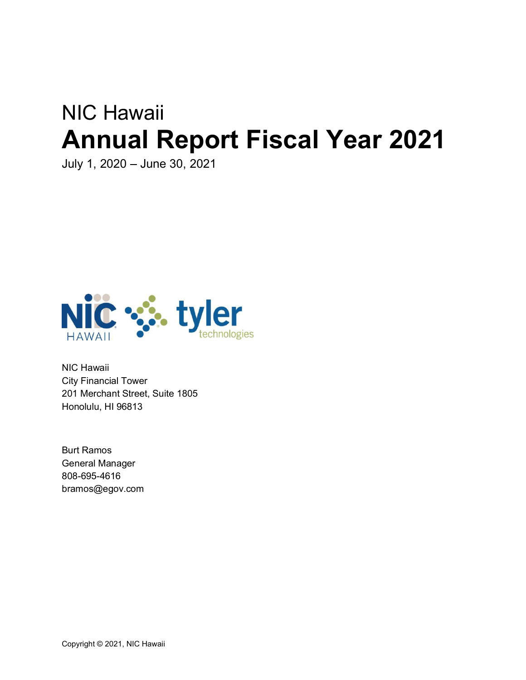# NIC Hawaii Annual Report Fiscal Year 2021

July 1, 2020 - June 30, 2021



NIC Hawaii City Financial Tower 201 Merchant Street, Suite 1805 Honolulu, HI 96813

Burt Ramos General Manager 808-695-4616 bramos@egov.com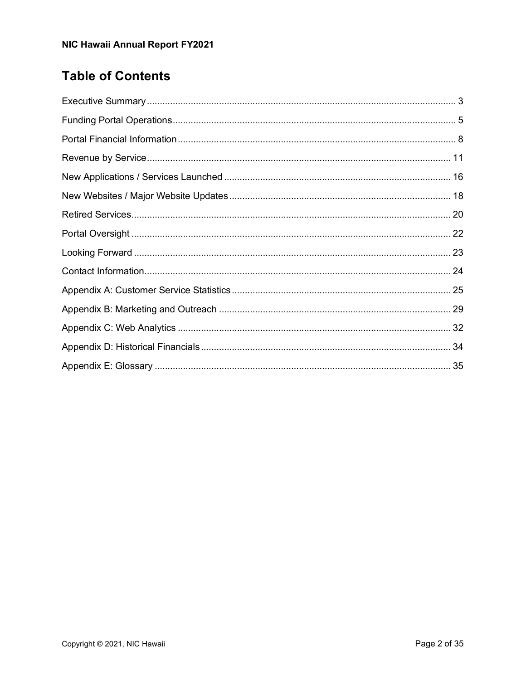# **Table of Contents**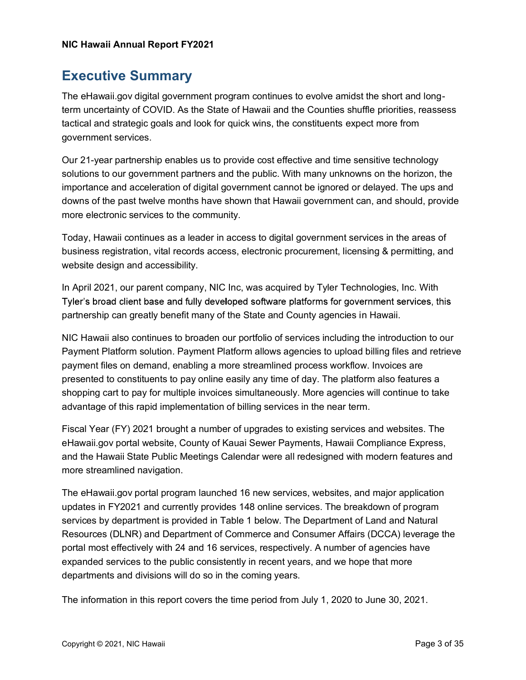### Executive Summary

The eHawaii.gov digital government program continues to evolve amidst the short and longterm uncertainty of COVID. As the State of Hawaii and the Counties shuffle priorities, reassess tactical and strategic goals and look for quick wins, the constituents expect more from government services.

Our 21-year partnership enables us to provide cost effective and time sensitive technology solutions to our government partners and the public. With many unknowns on the horizon, the importance and acceleration of digital government cannot be ignored or delayed. The ups and downs of the past twelve months have shown that Hawaii government can, and should, provide more electronic services to the community.

Today, Hawaii continues as a leader in access to digital government services in the areas of business registration, vital records access, electronic procurement, licensing & permitting, and website design and accessibility.

In April 2021, our parent company, NIC Inc, was acquired by Tyler Technologies, Inc. With Tyler's broad client base and fully developed software platforms for government services, this partnership can greatly benefit many of the State and County agencies in Hawaii.

NIC Hawaii also continues to broaden our portfolio of services including the introduction to our Payment Platform solution. Payment Platform allows agencies to upload billing files and retrieve payment files on demand, enabling a more streamlined process workflow. Invoices are presented to constituents to pay online easily any time of day. The platform also features a shopping cart to pay for multiple invoices simultaneously. More agencies will continue to take advantage of this rapid implementation of billing services in the near term.

Fiscal Year (FY) 2021 brought a number of upgrades to existing services and websites. The eHawaii.gov portal website, County of Kauai Sewer Payments, Hawaii Compliance Express, and the Hawaii State Public Meetings Calendar were all redesigned with modern features and more streamlined navigation.

The eHawaii.gov portal program launched 16 new services, websites, and major application updates in FY2021 and currently provides 148 online services. The breakdown of program services by department is provided in Table 1 below. The Department of Land and Natural Resources (DLNR) and Department of Commerce and Consumer Affairs (DCCA) leverage the portal most effectively with 24 and 16 services, respectively. A number of agencies have expanded services to the public consistently in recent years, and we hope that more departments and divisions will do so in the coming years.

The information in this report covers the time period from July 1, 2020 to June 30, 2021.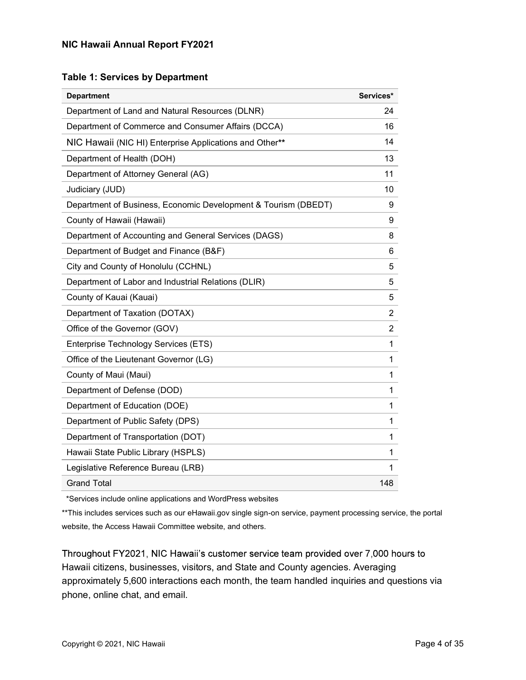#### Table 1: Services by Department

| <b>Department</b>                                              | Services*      |
|----------------------------------------------------------------|----------------|
| Department of Land and Natural Resources (DLNR)                | 24             |
| Department of Commerce and Consumer Affairs (DCCA)             | 16             |
| NIC Hawaii (NIC HI) Enterprise Applications and Other**        | 14             |
| Department of Health (DOH)                                     | 13             |
| Department of Attorney General (AG)                            | 11             |
| Judiciary (JUD)                                                | 10             |
| Department of Business, Economic Development & Tourism (DBEDT) | 9              |
| County of Hawaii (Hawaii)                                      | 9              |
| Department of Accounting and General Services (DAGS)           | 8              |
| Department of Budget and Finance (B&F)                         | 6              |
| City and County of Honolulu (CCHNL)                            | 5              |
| Department of Labor and Industrial Relations (DLIR)            | 5              |
| County of Kauai (Kauai)                                        | 5              |
| Department of Taxation (DOTAX)                                 | $\overline{2}$ |
| Office of the Governor (GOV)                                   | $\overline{2}$ |
| Enterprise Technology Services (ETS)                           | 1              |
| Office of the Lieutenant Governor (LG)                         | 1              |
| County of Maui (Maui)                                          | 1              |
| Department of Defense (DOD)                                    | 1              |
| Department of Education (DOE)                                  | 1              |
| Department of Public Safety (DPS)                              | 1              |
| Department of Transportation (DOT)                             | 1              |
| Hawaii State Public Library (HSPLS)                            | 1              |
| Legislative Reference Bureau (LRB)                             | 1              |
| <b>Grand Total</b>                                             | 148            |

\*Services include online applications and WordPress websites

\*\*This includes services such as our eHawaii.gov single sign-on service, payment processing service, the portal website, the Access Hawaii Committee website, and others.

Throughout FY2021, NIC Hawaii's customer service team provided over 7,000 hours to Hawaii citizens, businesses, visitors, and State and County agencies. Averaging approximately 5,600 interactions each month, the team handled inquiries and questions via phone, online chat, and email.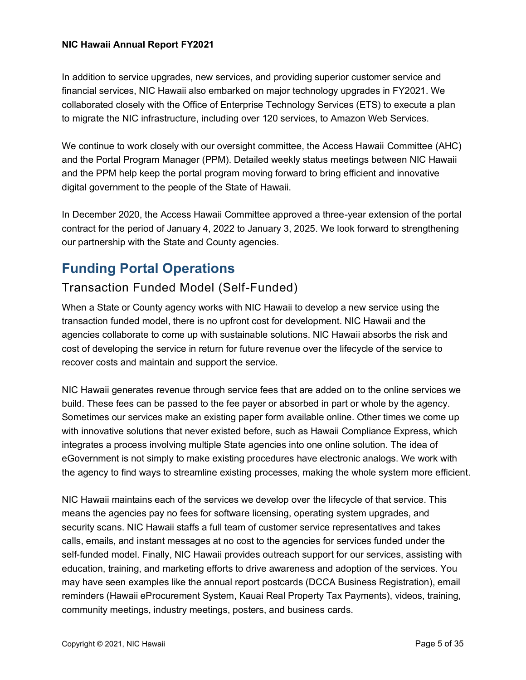In addition to service upgrades, new services, and providing superior customer service and financial services, NIC Hawaii also embarked on major technology upgrades in FY2021. We collaborated closely with the Office of Enterprise Technology Services (ETS) to execute a plan to migrate the NIC infrastructure, including over 120 services, to Amazon Web Services.

We continue to work closely with our oversight committee, the Access Hawaii Committee (AHC) and the Portal Program Manager (PPM). Detailed weekly status meetings between NIC Hawaii and the PPM help keep the portal program moving forward to bring efficient and innovative digital government to the people of the State of Hawaii.

In December 2020, the Access Hawaii Committee approved a three-year extension of the portal contract for the period of January 4, 2022 to January 3, 2025. We look forward to strengthening our partnership with the State and County agencies.

# Funding Portal Operations

### Transaction Funded Model (Self-Funded)

When a State or County agency works with NIC Hawaii to develop a new service using the transaction funded model, there is no upfront cost for development. NIC Hawaii and the agencies collaborate to come up with sustainable solutions. NIC Hawaii absorbs the risk and cost of developing the service in return for future revenue over the lifecycle of the service to recover costs and maintain and support the service.

NIC Hawaii generates revenue through service fees that are added on to the online services we build. These fees can be passed to the fee payer or absorbed in part or whole by the agency. Sometimes our services make an existing paper form available online. Other times we come up with innovative solutions that never existed before, such as Hawaii Compliance Express, which integrates a process involving multiple State agencies into one online solution. The idea of eGovernment is not simply to make existing procedures have electronic analogs. We work with the agency to find ways to streamline existing processes, making the whole system more efficient.

NIC Hawaii maintains each of the services we develop over the lifecycle of that service. This means the agencies pay no fees for software licensing, operating system upgrades, and security scans. NIC Hawaii staffs a full team of customer service representatives and takes calls, emails, and instant messages at no cost to the agencies for services funded under the self-funded model. Finally, NIC Hawaii provides outreach support for our services, assisting with education, training, and marketing efforts to drive awareness and adoption of the services. You may have seen examples like the annual report postcards (DCCA Business Registration), email reminders (Hawaii eProcurement System, Kauai Real Property Tax Payments), videos, training, community meetings, industry meetings, posters, and business cards.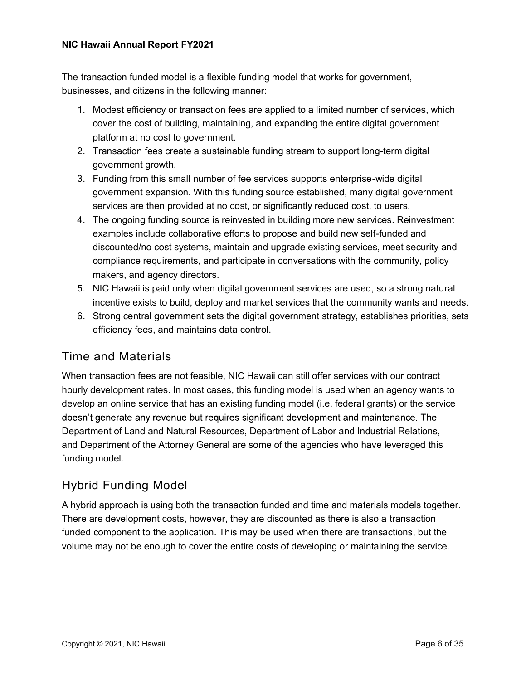The transaction funded model is a flexible funding model that works for government, businesses, and citizens in the following manner:

- 1. Modest efficiency or transaction fees are applied to a limited number of services, which cover the cost of building, maintaining, and expanding the entire digital government platform at no cost to government.
- 2. Transaction fees create a sustainable funding stream to support long-term digital government growth.
- 3. Funding from this small number of fee services supports enterprise-wide digital government expansion. With this funding source established, many digital government services are then provided at no cost, or significantly reduced cost, to users.
- 4. The ongoing funding source is reinvested in building more new services. Reinvestment examples include collaborative efforts to propose and build new self-funded and discounted/no cost systems, maintain and upgrade existing services, meet security and compliance requirements, and participate in conversations with the community, policy makers, and agency directors.
- 5. NIC Hawaii is paid only when digital government services are used, so a strong natural incentive exists to build, deploy and market services that the community wants and needs.
- 6. Strong central government sets the digital government strategy, establishes priorities, sets efficiency fees, and maintains data control.

### Time and Materials

When transaction fees are not feasible, NIC Hawaii can still offer services with our contract hourly development rates. In most cases, this funding model is used when an agency wants to develop an online service that has an existing funding model (i.e. federal grants) or the service doesn't generate any revenue but requires significant development and maintenance. The Department of Land and Natural Resources, Department of Labor and Industrial Relations, and Department of the Attorney General are some of the agencies who have leveraged this funding model.

### Hybrid Funding Model

A hybrid approach is using both the transaction funded and time and materials models together. There are development costs, however, they are discounted as there is also a transaction funded component to the application. This may be used when there are transactions, but the volume may not be enough to cover the entire costs of developing or maintaining the service.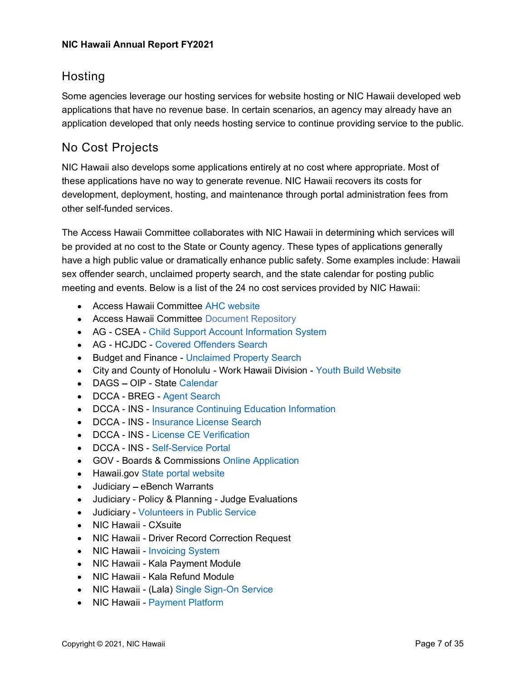### Hosting

Some agencies leverage our hosting services for website hosting or NIC Hawaii developed web applications that have no revenue base. In certain scenarios, an agency may already have an application developed that only needs hosting service to continue providing service to the public.

### No Cost Projects

NIC Hawaii also develops some applications entirely at no cost where appropriate. Most of these applications have no way to generate revenue. NIC Hawaii recovers its costs for development, deployment, hosting, and maintenance through portal administration fees from other self-funded services.

The Access Hawaii Committee collaborates with NIC Hawaii in determining which services will be provided at no cost to the State or County agency. These types of applications generally have a high public value or dramatically enhance public safety. Some examples include: Hawaii sex offender search, unclaimed property search, and the state calendar for posting public meeting and events. Below is a list of the 24 no cost services provided by NIC Hawaii:

- Access Hawaii Committee AHC website
- Access Hawaii Committee Document Repository
- AG CSEA Child Support Account Information System
- AG HCJDC Covered Offenders Search
- Budget and Finance Unclaimed Property Search
- City and County of Honolulu Work Hawaii Division Youth Build Website
- DAGS OIP State Calendar
- DCCA BREG Agent Search
- DCCA INS Insurance Continuing Education Information
- DCCA INS Insurance License Search
- DCCA INS License CE Verification
- DCCA INS Self-Service Portal
- GOV Boards & Commissions Online Application
- Hawaii.gov State portal website
- Judiciary eBench Warrants
- Judiciary Policy & Planning Judge Evaluations
- Judiciary Volunteers in Public Service
- NIC Hawaii CXsuite
- NIC Hawaii Driver Record Correction Request
- NIC Hawaii Invoicing System
- NIC Hawaii Kala Payment Module
- NIC Hawaii Kala Refund Module
- NIC Hawaii (Lala) Single Sign-On Service
- NIC Hawaii Payment Platform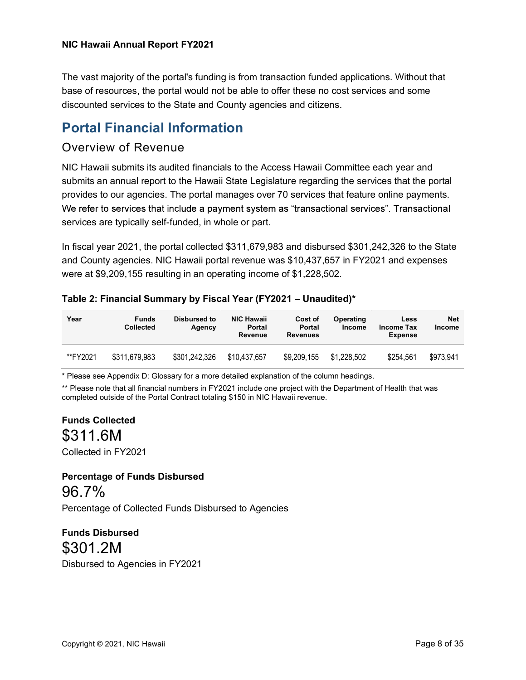The vast majority of the portal's funding is from transaction funded applications. Without that base of resources, the portal would not be able to offer these no cost services and some discounted services to the State and County agencies and citizens.

## Portal Financial Information

### Overview of Revenue

NIC Hawaii submits its audited financials to the Access Hawaii Committee each year and submits an annual report to the Hawaii State Legislature regarding the services that the portal provides to our agencies. The portal manages over 70 services that feature online payments. We refer to services that include a payment system as "transactional services". Transactional services are typically self-funded, in whole or part.

In fiscal year 2021, the portal collected \$311,679,983 and disbursed \$301,242,326 to the State and County agencies. NIC Hawaii portal revenue was \$10,437,657 in FY2021 and expenses were at \$9,209,155 resulting in an operating income of \$1,228,502.

Table 2: Financial Summary by Fiscal Year (FY2021 - Unaudited)\*

| Year     | <b>Funds</b><br><b>Collected</b> | Disbursed to<br>Agency | <b>NIC Hawaii</b><br><b>Portal</b><br>Revenue | Cost of<br><b>Portal</b><br><b>Revenues</b> | Operating<br>Income | Less<br><b>Income Tax</b><br><b>Expense</b> | <b>Net</b><br><b>Income</b> |
|----------|----------------------------------|------------------------|-----------------------------------------------|---------------------------------------------|---------------------|---------------------------------------------|-----------------------------|
| **FY2021 | \$311,679,983                    | \$301,242,326          | \$10.437.657                                  | \$9,209,155                                 | \$1.228.502         | \$254.561                                   | \$973,941                   |

\* Please see Appendix D: Glossary for a more detailed explanation of the column headings.

\*\* Please note that all financial numbers in FY2021 include one project with the Department of Health that was completed outside of the Portal Contract totaling \$150 in NIC Hawaii revenue.

Funds Collected \$311.6M

Collected in FY2021

# Percentage of Funds Disbursed 96.7%

Percentage of Collected Funds Disbursed to Agencies

Funds Disbursed \$301.2M Disbursed to Agencies in FY2021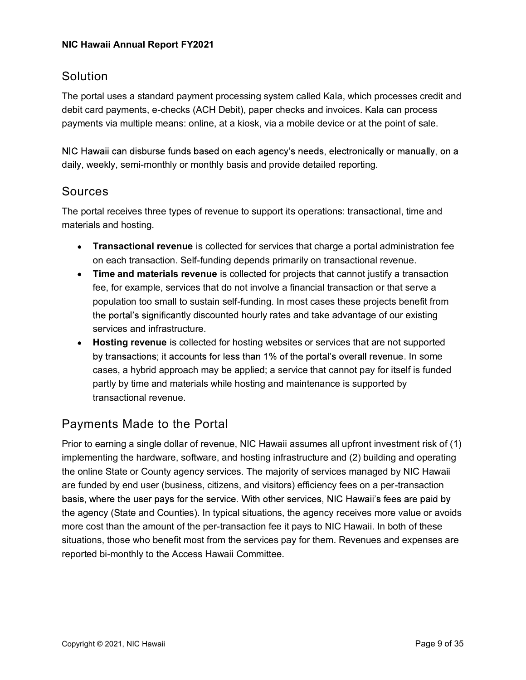### **Solution**

The portal uses a standard payment processing system called Kala, which processes credit and debit card payments, e-checks (ACH Debit), paper checks and invoices. Kala can process payments via multiple means: online, at a kiosk, via a mobile device or at the point of sale.

NIC Hawaii can disburse funds based on each agency's needs, electronically or manually, on a daily, weekly, semi-monthly or monthly basis and provide detailed reporting.

### Sources

The portal receives three types of revenue to support its operations: transactional, time and materials and hosting.

- Transactional revenue is collected for services that charge a portal administration fee on each transaction. Self-funding depends primarily on transactional revenue.
- Time and materials revenue is collected for projects that cannot justify a transaction fee, for example, services that do not involve a financial transaction or that serve a population too small to sustain self-funding. In most cases these projects benefit from the portal's significantly discounted hourly rates and take advantage of our existing services and infrastructure.
- Hosting revenue is collected for hosting websites or services that are not supported by transactions; it accounts for less than 1% of the portal's overall revenue. In some cases, a hybrid approach may be applied; a service that cannot pay for itself is funded partly by time and materials while hosting and maintenance is supported by transactional revenue.

### Payments Made to the Portal

Prior to earning a single dollar of revenue, NIC Hawaii assumes all upfront investment risk of (1) implementing the hardware, software, and hosting infrastructure and (2) building and operating the online State or County agency services. The majority of services managed by NIC Hawaii are funded by end user (business, citizens, and visitors) efficiency fees on a per-transaction basis, where the user pays for the service. With other services, NIC Hawaii's fees are paid by the agency (State and Counties). In typical situations, the agency receives more value or avoids more cost than the amount of the per-transaction fee it pays to NIC Hawaii. In both of these situations, those who benefit most from the services pay for them. Revenues and expenses are reported bi-monthly to the Access Hawaii Committee.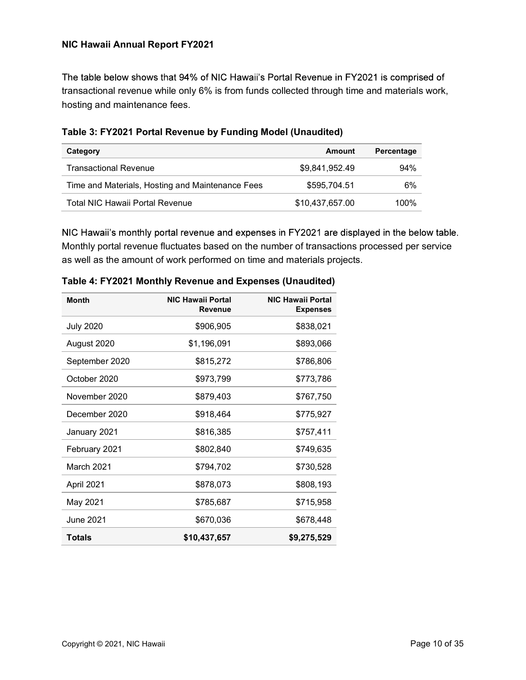The table below shows that 94% of NIC Hawaii's Portal Revenue in FY2021 is comprised of transactional revenue while only 6% is from funds collected through time and materials work, hosting and maintenance fees.

| Category                                         | Amount          | Percentage |
|--------------------------------------------------|-----------------|------------|
| <b>Transactional Revenue</b>                     | \$9.841.952.49  | 94%        |
| Time and Materials, Hosting and Maintenance Fees | \$595,704.51    | 6%         |
| <b>Total NIC Hawaii Portal Revenue</b>           | \$10,437,657.00 | $100\%$    |

Table 3: FY2021 Portal Revenue by Funding Model (Unaudited)

NIC Hawaii's monthly portal revenue and expenses in FY2021 are displayed in the below table. Monthly portal revenue fluctuates based on the number of transactions processed per service as well as the amount of work performed on time and materials projects.

| <b>Month</b>     | <b>NIC Hawaii Portal</b><br><b>Revenue</b> | <b>NIC Hawaii Portal</b><br><b>Expenses</b> |
|------------------|--------------------------------------------|---------------------------------------------|
| <b>July 2020</b> | \$906,905                                  | \$838,021                                   |
| August 2020      | \$1,196,091                                | \$893,066                                   |
| September 2020   | \$815,272                                  | \$786,806                                   |
| October 2020     | \$973,799                                  | \$773,786                                   |
| November 2020    | \$879,403                                  | \$767,750                                   |
| December 2020    | \$918,464                                  | \$775,927                                   |
| January 2021     | \$816,385                                  | \$757,411                                   |
| February 2021    | \$802,840                                  | \$749,635                                   |
| March 2021       | \$794,702                                  | \$730,528                                   |
| April 2021       | \$878,073                                  | \$808,193                                   |
| May 2021         | \$785,687                                  | \$715,958                                   |
| <b>June 2021</b> | \$670,036                                  | \$678,448                                   |
| <b>Totals</b>    | \$10,437,657                               | \$9,275,529                                 |

Table 4: FY2021 Monthly Revenue and Expenses (Unaudited)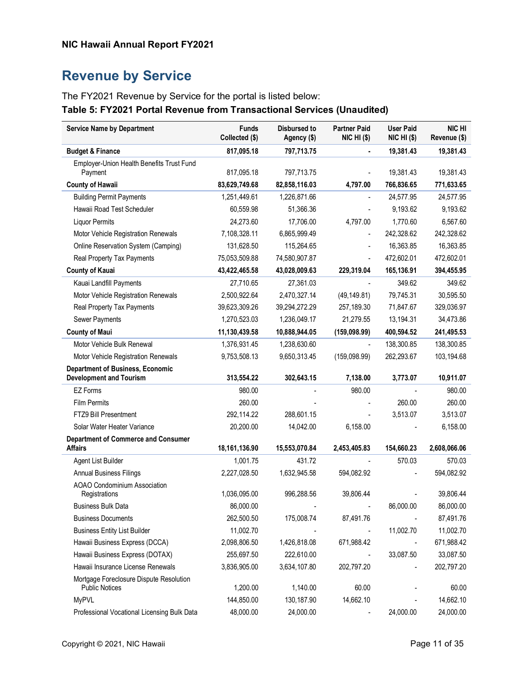# Revenue by Service

The FY2021 Revenue by Service for the portal is listed below:

#### Table 5: FY2021 Portal Revenue from Transactional Services (Unaudited)

| <b>Service Name by Department</b>                                | <b>Funds</b><br>Collected (\$) | <b>Disbursed to</b><br>Agency (\$) | <b>Partner Paid</b><br><b>NIC HI (\$)</b> | <b>User Paid</b><br>$NIC HI$ (\$) | NIC HI<br>Revenue (\$) |
|------------------------------------------------------------------|--------------------------------|------------------------------------|-------------------------------------------|-----------------------------------|------------------------|
| <b>Budget &amp; Finance</b>                                      | 817,095.18                     | 797,713.75                         |                                           | 19,381.43                         | 19,381.43              |
| Employer-Union Health Benefits Trust Fund                        |                                |                                    |                                           |                                   |                        |
| Payment                                                          | 817,095.18                     | 797,713.75                         |                                           | 19,381.43                         | 19,381.43              |
| <b>County of Hawaii</b>                                          | 83,629,749.68                  | 82,858,116.03                      | 4,797.00                                  | 766,836.65                        | 771,633.65             |
| <b>Building Permit Payments</b>                                  | 1,251,449.61                   | 1,226,871.66                       |                                           | 24,577.95                         | 24,577.95              |
| Hawaii Road Test Scheduler                                       | 60,559.98                      | 51,366.36                          |                                           | 9,193.62                          | 9,193.62               |
| <b>Liquor Permits</b>                                            | 24,273.60                      | 17,706.00                          | 4,797.00                                  | 1,770.60                          | 6,567.60               |
| Motor Vehicle Registration Renewals                              | 7,108,328.11                   | 6,865,999.49                       |                                           | 242,328.62                        | 242,328.62             |
| Online Reservation System (Camping)                              | 131,628.50                     | 115,264.65                         | ۰                                         | 16,363.85                         | 16,363.85              |
| Real Property Tax Payments                                       | 75,053,509.88                  | 74,580,907.87                      |                                           | 472,602.01                        | 472,602.01             |
| <b>County of Kauai</b>                                           | 43,422,465.58                  | 43,028,009.63                      | 229,319.04                                | 165,136.91                        | 394,455.95             |
| Kauai Landfill Payments                                          | 27,710.65                      | 27,361.03                          |                                           | 349.62                            | 349.62                 |
| Motor Vehicle Registration Renewals                              | 2,500,922.64                   | 2,470,327.14                       | (49, 149.81)                              | 79,745.31                         | 30,595.50              |
| Real Property Tax Payments                                       | 39,623,309.26                  | 39,294,272.29                      | 257,189.30                                | 71,847.67                         | 329,036.97             |
| Sewer Payments                                                   | 1,270,523.03                   | 1,236,049.17                       | 21,279.55                                 | 13,194.31                         | 34,473.86              |
| <b>County of Maui</b>                                            | 11,130,439.58                  | 10,888,944.05                      | (159,098.99)                              | 400,594.52                        | 241,495.53             |
| Motor Vehicle Bulk Renewal                                       | 1,376,931.45                   | 1,238,630.60                       |                                           | 138,300.85                        | 138,300.85             |
| Motor Vehicle Registration Renewals                              | 9,753,508.13                   | 9,650,313.45                       | (159,098.99)                              | 262,293.67                        | 103,194.68             |
| <b>Department of Business, Economic</b>                          |                                |                                    |                                           |                                   |                        |
| <b>Development and Tourism</b>                                   | 313,554.22                     | 302,643.15                         | 7,138.00                                  | 3,773.07                          | 10,911.07              |
| <b>EZ Forms</b>                                                  | 980.00                         |                                    | 980.00                                    |                                   | 980.00                 |
| <b>Film Permits</b>                                              | 260.00                         |                                    |                                           | 260.00                            | 260.00                 |
| FTZ9 Bill Presentment                                            | 292,114.22                     | 288,601.15                         |                                           | 3,513.07                          | 3,513.07               |
| Solar Water Heater Variance                                      | 20,200.00                      | 14,042.00                          | 6,158.00                                  |                                   | 6,158.00               |
| <b>Department of Commerce and Consumer</b>                       |                                |                                    |                                           |                                   |                        |
| <b>Affairs</b>                                                   | 18,161,136.90                  | 15,553,070.84                      | 2,453,405.83                              | 154,660.23                        | 2,608,066.06           |
| Agent List Builder                                               | 1,001.75                       | 431.72                             |                                           | 570.03                            | 570.03                 |
| <b>Annual Business Filings</b>                                   | 2,227,028.50                   | 1,632,945.58                       | 594,082.92                                |                                   | 594,082.92             |
| AOAO Condominium Association<br>Registrations                    | 1,036,095.00                   | 996,288.56                         | 39,806.44                                 |                                   | 39,806.44              |
| <b>Business Bulk Data</b>                                        | 86,000.00                      |                                    |                                           | 86,000.00                         | 86,000.00              |
| <b>Business Documents</b>                                        | 262,500.50                     | 175,008.74                         | 87,491.76                                 |                                   | 87,491.76              |
| <b>Business Entity List Builder</b>                              | 11,002.70                      |                                    |                                           | 11,002.70                         | 11,002.70              |
| Hawaii Business Express (DCCA)                                   | 2,098,806.50                   | 1,426,818.08                       | 671,988.42                                |                                   | 671,988.42             |
| Hawaii Business Express (DOTAX)                                  | 255,697.50                     | 222,610.00                         |                                           | 33,087.50                         | 33,087.50              |
| Hawaii Insurance License Renewals                                | 3,836,905.00                   | 3,634,107.80                       | 202,797.20                                |                                   | 202,797.20             |
| Mortgage Foreclosure Dispute Resolution<br><b>Public Notices</b> | 1,200.00                       | 1,140.00                           | 60.00                                     |                                   | 60.00                  |
| <b>MyPVL</b>                                                     | 144,850.00                     | 130, 187.90                        | 14,662.10                                 |                                   | 14,662.10              |
| Professional Vocational Licensing Bulk Data                      | 48,000.00                      | 24,000.00                          |                                           | 24,000.00                         | 24,000.00              |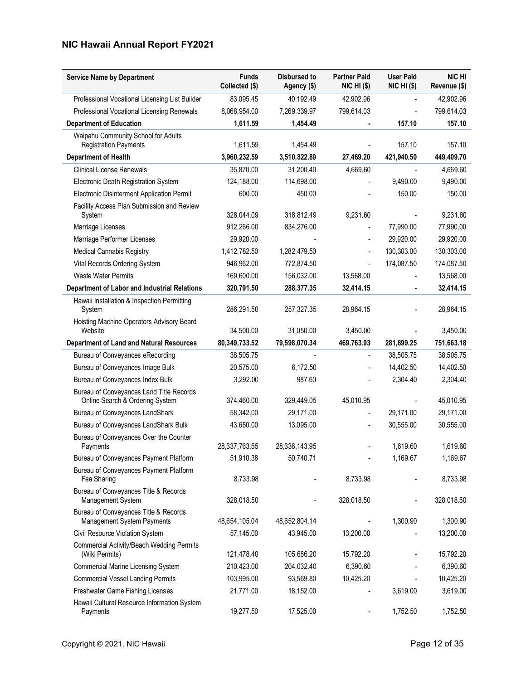| <b>Service Name by Department</b>                                           | <b>Funds</b><br>Collected (\$) | Disbursed to<br>Agency (\$) | <b>Partner Paid</b><br>NIC HI (\$) | <b>User Paid</b><br>$NIC HI$ (\$) | <b>NIC HI</b><br>Revenue (\$) |
|-----------------------------------------------------------------------------|--------------------------------|-----------------------------|------------------------------------|-----------------------------------|-------------------------------|
| Professional Vocational Licensing List Builder                              | 83,095.45                      | 40,192.49                   | 42,902.96                          |                                   | 42,902.96                     |
| Professional Vocational Licensing Renewals                                  | 8,068,954.00                   | 7,269,339.97                | 799,614.03                         |                                   | 799,614.03                    |
| <b>Department of Education</b>                                              | 1,611.59                       | 1,454.49                    |                                    | 157.10                            | 157.10                        |
| Waipahu Community School for Adults<br><b>Registration Payments</b>         | 1,611.59                       | 1,454.49                    |                                    | 157.10                            | 157.10                        |
| <b>Department of Health</b>                                                 | 3,960,232.59                   | 3,510,822.89                | 27,469.20                          | 421,940.50                        | 449,409.70                    |
| <b>Clinical License Renewals</b>                                            | 35,870.00                      | 31,200.40                   | 4,669.60                           |                                   | 4,669.60                      |
| Electronic Death Registration System                                        | 124,188.00                     | 114,698.00                  |                                    | 9,490.00                          | 9,490.00                      |
| Electronic Disinterment Application Permit                                  | 600.00                         | 450.00                      |                                    | 150.00                            | 150.00                        |
| Facility Access Plan Submission and Review<br>System                        | 328,044.09                     | 318,812.49                  | 9,231.60                           |                                   | 9,231.60                      |
| Marriage Licenses                                                           | 912,266.00                     | 834,276.00                  |                                    | 77,990.00                         | 77,990.00                     |
| Marriage Performer Licenses                                                 | 29,920.00                      |                             |                                    | 29,920.00                         | 29,920.00                     |
| Medical Cannabis Registry                                                   | 1,412,782.50                   | 1,282,479.50                |                                    | 130,303.00                        | 130,303.00                    |
| Vital Records Ordering System                                               | 946,962.00                     | 772,874.50                  |                                    | 174,087.50                        | 174,087.50                    |
| Waste Water Permits                                                         | 169,600.00                     | 156,032.00                  | 13,568.00                          |                                   | 13,568.00                     |
| Department of Labor and Industrial Relations                                | 320,791.50                     | 288,377.35                  | 32,414.15                          |                                   | 32,414.15                     |
| Hawaii Installation & Inspection Permitting<br>System                       | 286,291.50                     | 257,327.35                  | 28,964.15                          |                                   | 28,964.15                     |
| Hoisting Machine Operators Advisory Board<br>Website                        | 34,500.00                      | 31,050.00                   | 3,450.00                           |                                   | 3,450.00                      |
| <b>Department of Land and Natural Resources</b>                             | 80,349,733.52                  | 79,598,070.34               | 469,763.93                         | 281,899.25                        | 751,663.18                    |
| Bureau of Conveyances eRecording                                            | 38,505.75                      |                             |                                    | 38,505.75                         | 38,505.75                     |
| Bureau of Conveyances Image Bulk                                            | 20,575.00                      | 6,172.50                    |                                    | 14,402.50                         | 14,402.50                     |
| Bureau of Conveyances Index Bulk                                            | 3,292.00                       | 987.60                      |                                    | 2,304.40                          | 2,304.40                      |
| Bureau of Conveyances Land Title Records<br>Online Search & Ordering System | 374,460.00                     | 329,449.05                  | 45,010.95                          |                                   | 45,010.95                     |
| Bureau of Conveyances LandShark                                             | 58,342.00                      | 29,171.00                   |                                    | 29,171.00                         | 29,171.00                     |
| Bureau of Conveyances LandShark Bulk                                        | 43,650.00                      | 13,095.00                   |                                    | 30,555.00                         | 30,555.00                     |
| Bureau of Conveyances Over the Counter<br>Payments                          | 28,337,763.55                  | 28,336,143.95               |                                    | 1,619.60                          | 1,619.60                      |
| Bureau of Conveyances Payment Platform                                      | 51,910.38                      | 50,740.71                   |                                    | 1,169.67                          | 1,169.67                      |
| Bureau of Conveyances Payment Platform<br>Fee Sharing                       | 8,733.98                       |                             | 8,733.98                           |                                   | 8,733.98                      |
| Bureau of Conveyances Title & Records<br>Management System                  | 328,018.50                     |                             | 328,018.50                         |                                   | 328,018.50                    |
| Bureau of Conveyances Title & Records<br>Management System Payments         | 48,654,105.04                  | 48,652,804.14               |                                    | 1,300.90                          | 1,300.90                      |
| Civil Resource Violation System                                             | 57,145.00                      | 43,945.00                   | 13,200.00                          |                                   | 13,200.00                     |
| Commercial Activity/Beach Wedding Permits<br>(Wiki Permits)                 | 121,478.40                     | 105,686.20                  | 15,792.20                          |                                   | 15,792.20                     |
| <b>Commercial Marine Licensing System</b>                                   | 210,423.00                     | 204,032.40                  | 6,390.60                           |                                   | 6,390.60                      |
| <b>Commercial Vessel Landing Permits</b>                                    | 103,995.00                     | 93,569.80                   | 10,425.20                          |                                   | 10,425.20                     |
| Freshwater Game Fishing Licenses                                            | 21,771.00                      | 18,152.00                   |                                    | 3,619.00                          | 3,619.00                      |
| Hawaii Cultural Resource Information System<br>Payments                     | 19,277.50                      | 17,525.00                   |                                    | 1,752.50                          | 1,752.50                      |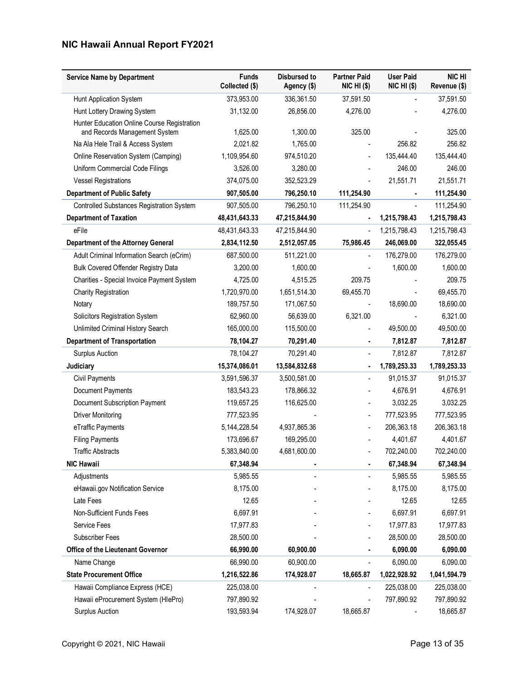| <b>Service Name by Department</b>                                            | <b>Funds</b><br>Collected (\$) | <b>Disbursed to</b><br>Agency (\$) | <b>Partner Paid</b><br><b>NIC HI (\$)</b> | <b>User Paid</b><br>NIC HI (\$) | NIC HI<br>Revenue (\$) |
|------------------------------------------------------------------------------|--------------------------------|------------------------------------|-------------------------------------------|---------------------------------|------------------------|
| Hunt Application System                                                      | 373,953.00                     | 336,361.50                         | 37,591.50                                 |                                 | 37,591.50              |
| Hunt Lottery Drawing System                                                  | 31,132.00                      | 26,856.00                          | 4,276.00                                  |                                 | 4,276.00               |
| Hunter Education Online Course Registration<br>and Records Management System | 1,625.00                       | 1,300.00                           | 325.00                                    |                                 | 325.00                 |
| Na Ala Hele Trail & Access System                                            | 2,021.82                       | 1,765.00                           |                                           | 256.82                          | 256.82                 |
| Online Reservation System (Camping)                                          | 1,109,954.60                   | 974,510.20                         |                                           | 135,444.40                      | 135,444.40             |
| Uniform Commercial Code Filings                                              | 3,526.00                       | 3,280.00                           |                                           | 246.00                          | 246.00                 |
| <b>Vessel Registrations</b>                                                  | 374,075.00                     | 352,523.29                         |                                           | 21,551.71                       | 21,551.71              |
| <b>Department of Public Safety</b>                                           | 907,505.00                     | 796,250.10                         | 111,254.90                                |                                 | 111,254.90             |
| Controlled Substances Registration System                                    | 907,505.00                     | 796,250.10                         | 111,254.90                                |                                 | 111,254.90             |
| <b>Department of Taxation</b>                                                | 48,431,643.33                  | 47,215,844.90                      | $\blacksquare$                            | 1,215,798.43                    | 1,215,798.43           |
| eFile                                                                        | 48,431,643.33                  | 47,215,844.90                      |                                           | 1,215,798.43                    | 1,215,798.43           |
| <b>Department of the Attorney General</b>                                    | 2,834,112.50                   | 2,512,057.05                       | 75,986.45                                 | 246,069.00                      | 322,055.45             |
| Adult Criminal Information Search (eCrim)                                    | 687,500.00                     | 511,221.00                         |                                           | 176,279.00                      | 176,279.00             |
| Bulk Covered Offender Registry Data                                          | 3,200.00                       | 1,600.00                           |                                           | 1,600.00                        | 1,600.00               |
| Charities - Special Invoice Payment System                                   | 4,725.00                       | 4,515.25                           | 209.75                                    |                                 | 209.75                 |
| <b>Charity Registration</b>                                                  | 1,720,970.00                   | 1,651,514.30                       | 69,455.70                                 |                                 | 69,455.70              |
| Notary                                                                       | 189,757.50                     | 171,067.50                         |                                           | 18,690.00                       | 18,690.00              |
| Solicitors Registration System                                               | 62,960.00                      | 56,639.00                          | 6,321.00                                  |                                 | 6,321.00               |
| Unlimited Criminal History Search                                            | 165,000.00                     | 115,500.00                         |                                           | 49,500.00                       | 49,500.00              |
| <b>Department of Transportation</b>                                          | 78,104.27                      | 70,291.40                          | ٠                                         | 7,812.87                        | 7,812.87               |
| <b>Surplus Auction</b>                                                       | 78,104.27                      | 70,291.40                          |                                           | 7,812.87                        | 7,812.87               |
| Judiciary                                                                    | 15,374,086.01                  | 13,584,832.68                      |                                           | 1,789,253.33                    | 1,789,253.33           |
| Civil Payments                                                               | 3,591,596.37                   | 3,500,581.00                       | $\overline{\phantom{a}}$                  | 91,015.37                       | 91,015.37              |
| Document Payments                                                            | 183,543.23                     | 178,866.32                         |                                           | 4,676.91                        | 4,676.91               |
| Document Subscription Payment                                                | 119,657.25                     | 116,625.00                         |                                           | 3,032.25                        | 3,032.25               |
| <b>Driver Monitoring</b>                                                     | 777,523.95                     |                                    | ٠                                         | 777,523.95                      | 777,523.95             |
| eTraffic Payments                                                            | 5, 144, 228.54                 | 4,937,865.36                       | $\blacksquare$                            | 206,363.18                      | 206,363.18             |
| <b>Filing Payments</b>                                                       | 173,696.67                     | 169,295.00                         |                                           | 4,401.67                        | 4,401.67               |
| <b>Traffic Abstracts</b>                                                     | 5,383,840.00                   | 4,681,600.00                       |                                           | 702,240.00                      | 702,240.00             |
| <b>NIC Hawaii</b>                                                            | 67,348.94                      |                                    |                                           | 67,348.94                       | 67,348.94              |
| Adjustments                                                                  | 5,985.55                       |                                    |                                           | 5,985.55                        | 5,985.55               |
| eHawaii.gov Notification Service                                             | 8,175.00                       |                                    |                                           | 8,175.00                        | 8,175.00               |
| Late Fees                                                                    | 12.65                          |                                    |                                           | 12.65                           | 12.65                  |
| Non-Sufficient Funds Fees                                                    | 6,697.91                       |                                    |                                           | 6,697.91                        | 6,697.91               |
| Service Fees                                                                 | 17,977.83                      |                                    |                                           | 17,977.83                       | 17,977.83              |
| Subscriber Fees                                                              | 28,500.00                      |                                    |                                           | 28,500.00                       | 28,500.00              |
| Office of the Lieutenant Governor                                            | 66,990.00                      | 60,900.00                          |                                           | 6,090.00                        | 6,090.00               |
| Name Change                                                                  | 66,990.00                      | 60,900.00                          |                                           | 6,090.00                        | 6,090.00               |
| <b>State Procurement Office</b>                                              | 1,216,522.86                   | 174,928.07                         | 18,665.87                                 | 1,022,928.92                    | 1,041,594.79           |
| Hawaii Compliance Express (HCE)                                              | 225,038.00                     |                                    |                                           | 225,038.00                      | 225,038.00             |
| Hawaii eProcurement System (HIePro)                                          | 797,890.92                     |                                    |                                           | 797,890.92                      | 797,890.92             |
| <b>Surplus Auction</b>                                                       | 193,593.94                     | 174,928.07                         | 18,665.87                                 |                                 | 18,665.87              |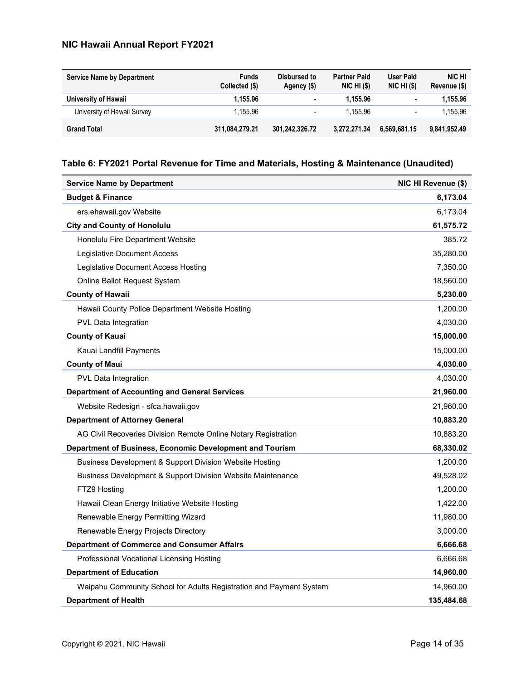| <b>Service Name by Department</b> | <b>Funds</b><br>Collected (\$) | Disbursed to<br>Agency (\$) | <b>Partner Paid</b><br>$NIC$ HI $(S)$ | User Paid<br>$NIC$ HI $(S)$ | <b>NIC HI</b><br>Revenue (\$) |
|-----------------------------------|--------------------------------|-----------------------------|---------------------------------------|-----------------------------|-------------------------------|
| University of Hawaii              | 1.155.96                       | ٠                           | 1.155.96                              | $\bullet$                   | 1.155.96                      |
| University of Hawaii Survey       | 1.155.96                       | $\blacksquare$              | 1.155.96                              | $\overline{\phantom{0}}$    | 1.155.96                      |
| <b>Grand Total</b>                | 311.084.279.21                 | 301.242.326.72              | 3.272.271.34                          | 6.569.681.15                | 9,841,952.49                  |

### Table 6: FY2021 Portal Revenue for Time and Materials, Hosting & Maintenance (Unaudited)

| <b>Service Name by Department</b>                                   | NIC HI Revenue (\$) |
|---------------------------------------------------------------------|---------------------|
| <b>Budget &amp; Finance</b>                                         | 6,173.04            |
| ers.ehawaii.gov Website                                             | 6,173.04            |
| <b>City and County of Honolulu</b>                                  | 61,575.72           |
| Honolulu Fire Department Website                                    | 385.72              |
| Legislative Document Access                                         | 35,280.00           |
| Legislative Document Access Hosting                                 | 7,350.00            |
| Online Ballot Request System                                        | 18,560.00           |
| <b>County of Hawaii</b>                                             | 5,230.00            |
| Hawaii County Police Department Website Hosting                     | 1,200.00            |
| PVL Data Integration                                                | 4,030.00            |
| <b>County of Kauai</b>                                              | 15,000.00           |
| Kauai Landfill Payments                                             | 15,000.00           |
| <b>County of Maui</b>                                               | 4,030.00            |
| PVL Data Integration                                                | 4,030.00            |
| <b>Department of Accounting and General Services</b>                | 21,960.00           |
| Website Redesign - sfca.hawaii.gov                                  | 21,960.00           |
| <b>Department of Attorney General</b>                               | 10,883.20           |
| AG Civil Recoveries Division Remote Online Notary Registration      | 10,883.20           |
| Department of Business, Economic Development and Tourism            | 68,330.02           |
| Business Development & Support Division Website Hosting             | 1,200.00            |
| Business Development & Support Division Website Maintenance         | 49,528.02           |
| FTZ9 Hosting                                                        | 1,200.00            |
| Hawaii Clean Energy Initiative Website Hosting                      | 1,422.00            |
| Renewable Energy Permitting Wizard                                  | 11,980.00           |
| Renewable Energy Projects Directory                                 | 3,000.00            |
| <b>Department of Commerce and Consumer Affairs</b>                  | 6,666.68            |
| Professional Vocational Licensing Hosting                           | 6,666.68            |
| <b>Department of Education</b>                                      | 14,960.00           |
| Waipahu Community School for Adults Registration and Payment System | 14,960.00           |
| <b>Department of Health</b>                                         | 135,484.68          |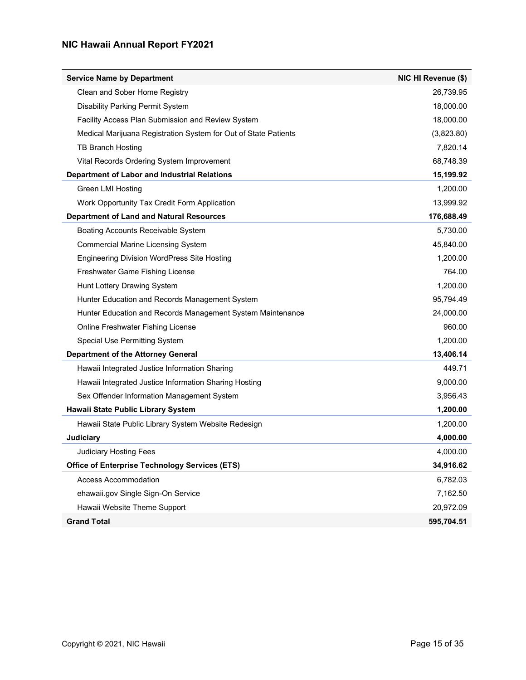| <b>Service Name by Department</b>                               | NIC HI Revenue (\$) |
|-----------------------------------------------------------------|---------------------|
| Clean and Sober Home Registry                                   | 26,739.95           |
| <b>Disability Parking Permit System</b>                         | 18,000.00           |
| Facility Access Plan Submission and Review System               | 18,000.00           |
| Medical Marijuana Registration System for Out of State Patients | (3,823.80)          |
| <b>TB Branch Hosting</b>                                        | 7,820.14            |
| Vital Records Ordering System Improvement                       | 68,748.39           |
| Department of Labor and Industrial Relations                    | 15,199.92           |
| <b>Green LMI Hosting</b>                                        | 1,200.00            |
| Work Opportunity Tax Credit Form Application                    | 13,999.92           |
| <b>Department of Land and Natural Resources</b>                 | 176,688.49          |
| Boating Accounts Receivable System                              | 5,730.00            |
| <b>Commercial Marine Licensing System</b>                       | 45,840.00           |
| <b>Engineering Division WordPress Site Hosting</b>              | 1,200.00            |
| Freshwater Game Fishing License                                 | 764.00              |
| Hunt Lottery Drawing System                                     | 1,200.00            |
| Hunter Education and Records Management System                  | 95,794.49           |
| Hunter Education and Records Management System Maintenance      | 24,000.00           |
| Online Freshwater Fishing License                               | 960.00              |
| Special Use Permitting System                                   | 1,200.00            |
| <b>Department of the Attorney General</b>                       | 13,406.14           |
| Hawaii Integrated Justice Information Sharing                   | 449.71              |
| Hawaii Integrated Justice Information Sharing Hosting           | 9,000.00            |
| Sex Offender Information Management System                      | 3,956.43            |
| Hawaii State Public Library System                              | 1,200.00            |
| Hawaii State Public Library System Website Redesign             | 1,200.00            |
| <b>Judiciary</b>                                                | 4,000.00            |
| <b>Judiciary Hosting Fees</b>                                   | 4,000.00            |
| <b>Office of Enterprise Technology Services (ETS)</b>           | 34,916.62           |
| <b>Access Accommodation</b>                                     | 6,782.03            |
| ehawaii.gov Single Sign-On Service                              | 7,162.50            |
| Hawaii Website Theme Support                                    | 20,972.09           |
| <b>Grand Total</b>                                              | 595,704.51          |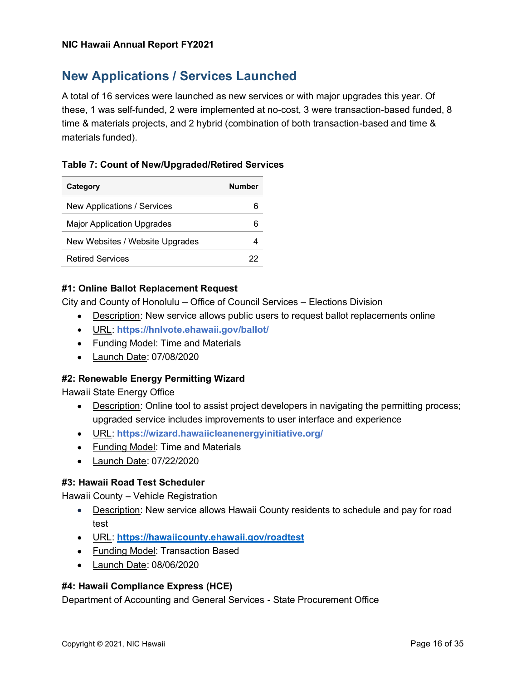### New Applications / Services Launched

A total of 16 services were launched as new services or with major upgrades this year. Of these, 1 was self-funded, 2 were implemented at no-cost, 3 were transaction-based funded, 8 time & materials projects, and 2 hybrid (combination of both transaction-based and time & materials funded).

#### Table 7: Count of New/Upgraded/Retired Services

| Category                        | Number |
|---------------------------------|--------|
| New Applications / Services     |        |
| Major Application Upgrades      |        |
| New Websites / Website Upgrades |        |
| <b>Retired Services</b>         | 22     |

#### #1: Online Ballot Replacement Request

City and County of Honolulu - Office of Council Services - Elections Division

- Description: New service allows public users to request ballot replacements online
- URL: https://hnlvote.ehawaii.gov/ballot/
- Funding Model: Time and Materials
- Launch Date: 07/08/2020

#### #2: Renewable Energy Permitting Wizard

Hawaii State Energy Office

- Description: Online tool to assist project developers in navigating the permitting process; upgraded service includes improvements to user interface and experience
- URL: https://wizard.hawaiicleanenergyinitiative.org/
- Funding Model: Time and Materials
- Launch Date: 07/22/2020

#### #3: Hawaii Road Test Scheduler

Hawaii County - Vehicle Registration

- Description: New service allows Hawaii County residents to schedule and pay for road test
- URL: https://hawaiicounty.ehawaii.gov/roadtest
- Funding Model: Transaction Based
- Launch Date: 08/06/2020

#### #4: Hawaii Compliance Express (HCE)

Department of Accounting and General Services - State Procurement Office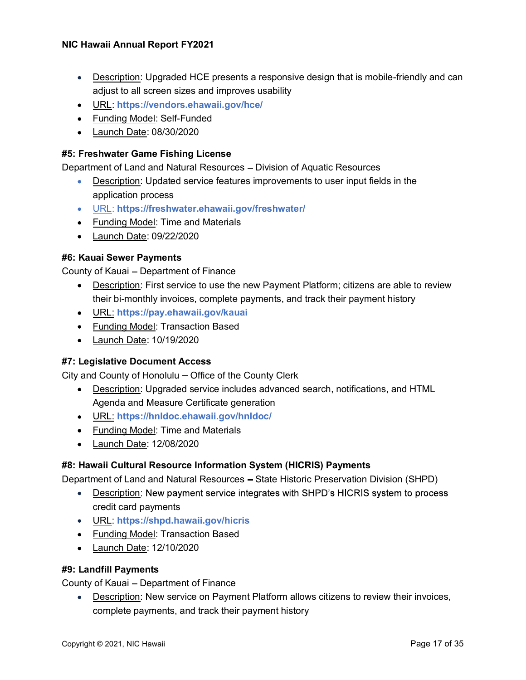- Description: Upgraded HCE presents a responsive design that is mobile-friendly and can adjust to all screen sizes and improves usability
- URL: https://vendors.ehawaii.gov/hce/
- Funding Model: Self-Funded
- Launch Date: 08/30/2020

#### #5: Freshwater Game Fishing License

Department of Land and Natural Resources - Division of Aquatic Resources

- Description: Updated service features improvements to user input fields in the application process
- URL: https://freshwater.ehawaii.gov/freshwater/
- Funding Model: Time and Materials
- Launch Date: 09/22/2020

#### #6: Kauai Sewer Payments

County of Kauai - Department of Finance

- Description: First service to use the new Payment Platform; citizens are able to review their bi-monthly invoices, complete payments, and track their payment history
- URL: https://pay.ehawaii.gov/kauai
- Funding Model: Transaction Based
- Launch Date: 10/19/2020

#### #7: Legislative Document Access

City and County of Honolulu – Office of the County Clerk

- Description: Upgraded service includes advanced search, notifications, and HTML Agenda and Measure Certificate generation
- URL: https://hnldoc.ehawaii.gov/hnldoc/
- Funding Model: Time and Materials
- Launch Date: 12/08/2020

#### #8: Hawaii Cultural Resource Information System (HICRIS) Payments

Department of Land and Natural Resources - State Historic Preservation Division (SHPD)

- Description: New payment service integrates with SHPD's HICRIS system to process credit card payments
- URL: https://shpd.hawaii.gov/hicris
- Funding Model: Transaction Based
- Launch Date: 12/10/2020

#### #9: Landfill Payments

County of Kauai - Department of Finance

Description: New service on Payment Platform allows citizens to review their invoices, complete payments, and track their payment history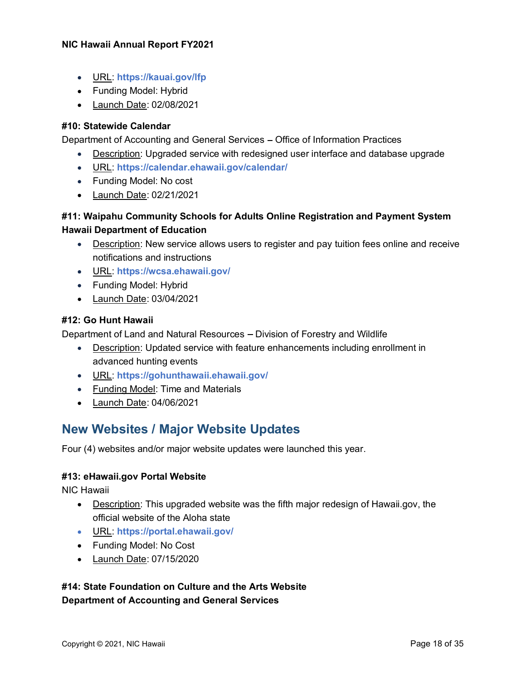- URL: https://kauai.gov/lfp
- Funding Model: Hybrid
- Launch Date: 02/08/2021

#### #10: Statewide Calendar

Department of Accounting and General Services - Office of Information Practices

- Description: Upgraded service with redesigned user interface and database upgrade
- URL: https://calendar.ehawaii.gov/calendar/
- Funding Model: No cost
- Launch Date: 02/21/2021

#### #11: Waipahu Community Schools for Adults Online Registration and Payment System Hawaii Department of Education

- Description: New service allows users to register and pay tuition fees online and receive notifications and instructions
- URL: https://wcsa.ehawaii.gov/
- Funding Model: Hybrid
- Launch Date: 03/04/2021

#### #12: Go Hunt Hawaii

Department of Land and Natural Resources - Division of Forestry and Wildlife

- Description: Updated service with feature enhancements including enrollment in advanced hunting events
- URL: https://gohunthawaii.ehawaii.gov/
- Funding Model: Time and Materials
- Launch Date: 04/06/2021

### New Websites / Major Website Updates

Four (4) websites and/or major website updates were launched this year.

#### #13: eHawaii.gov Portal Website

NIC Hawaii

- **Description:** This upgraded website was the fifth major redesign of Hawaii.gov, the official website of the Aloha state
- URL: https://portal.ehawaii.gov/
- Funding Model: No Cost
- Launch Date: 07/15/2020

#### #14: State Foundation on Culture and the Arts Website Department of Accounting and General Services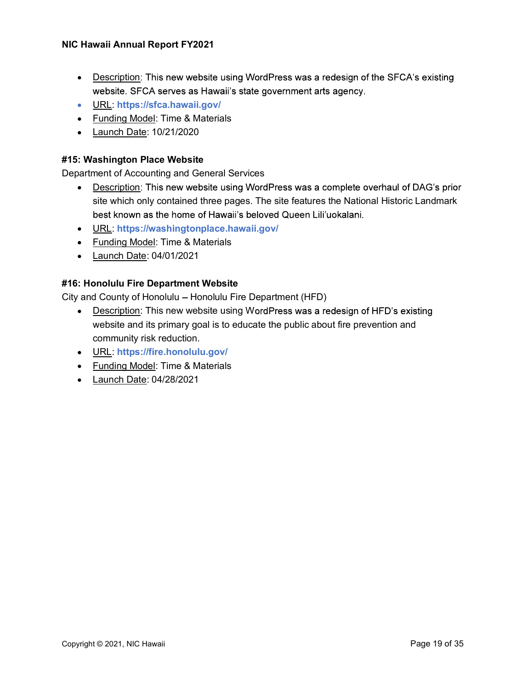- Description: This new website using WordPress was a redesign of the SFCA's existing website. SFCA serves as Hawaii's state government arts agency.
- URL: https://sfca.hawaii.gov/
- Funding Model: Time & Materials
- Launch Date: 10/21/2020

#### #15: Washington Place Website

Department of Accounting and General Services

- Description: This new website using WordPress was a complete overhaul of DAG's prior site which only contained three pages. The site features the National Historic Landmark best known as the home of Hawaii's beloved Queen Lili'uokalani.
- URL: https://washingtonplace.hawaii.gov/
- Funding Model: Time & Materials
- Launch Date: 04/01/2021

#### #16: Honolulu Fire Department Website

City and County of Honolulu - Honolulu Fire Department (HFD)

- Description: This new website using WordPress was a redesign of HFD's existing website and its primary goal is to educate the public about fire prevention and community risk reduction.
- URL: https://fire.honolulu.gov/
- Funding Model: Time & Materials
- Launch Date: 04/28/2021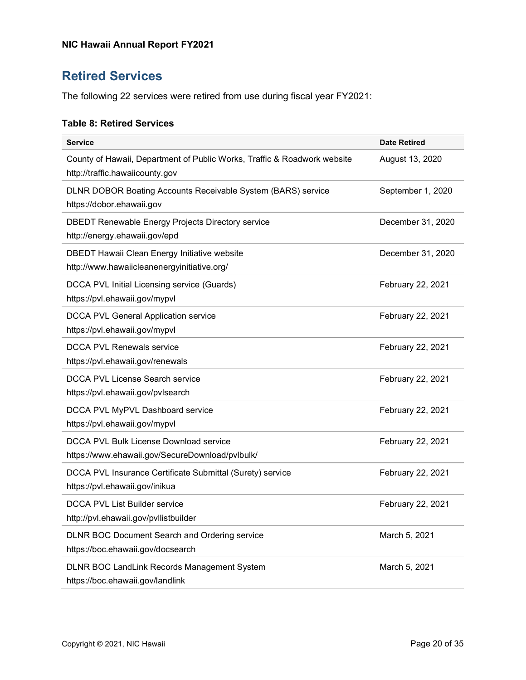# Retired Services

The following 22 services were retired from use during fiscal year FY2021:

#### Table 8: Retired Services

| <b>Service</b>                                                                                              | <b>Date Retired</b> |
|-------------------------------------------------------------------------------------------------------------|---------------------|
| County of Hawaii, Department of Public Works, Traffic & Roadwork website<br>http://traffic.hawaiicounty.gov | August 13, 2020     |
| DLNR DOBOR Boating Accounts Receivable System (BARS) service<br>https://dobor.ehawaii.gov                   | September 1, 2020   |
| <b>DBEDT Renewable Energy Projects Directory service</b><br>http://energy.ehawaii.gov/epd                   | December 31, 2020   |
| DBEDT Hawaii Clean Energy Initiative website<br>http://www.hawaiicleanenergyinitiative.org/                 | December 31, 2020   |
| DCCA PVL Initial Licensing service (Guards)<br>https://pvl.ehawaii.gov/mypvl                                | February 22, 2021   |
| DCCA PVL General Application service<br>https://pvl.ehawaii.gov/mypvl                                       | February 22, 2021   |
| <b>DCCA PVL Renewals service</b><br>https://pvl.ehawaii.gov/renewals                                        | February 22, 2021   |
| DCCA PVL License Search service<br>https://pvl.ehawaii.gov/pvlsearch                                        | February 22, 2021   |
| DCCA PVL MyPVL Dashboard service<br>https://pvl.ehawaii.gov/mypvl                                           | February 22, 2021   |
| DCCA PVL Bulk License Download service<br>https://www.ehawaii.gov/SecureDownload/pvlbulk/                   | February 22, 2021   |
| DCCA PVL Insurance Certificate Submittal (Surety) service<br>https://pvl.ehawaii.gov/inikua                 | February 22, 2021   |
| <b>DCCA PVL List Builder service</b><br>http://pvl.ehawaii.gov/pvllistbuilder                               | February 22, 2021   |
| DLNR BOC Document Search and Ordering service<br>https://boc.ehawaii.gov/docsearch                          | March 5, 2021       |
| DLNR BOC LandLink Records Management System<br>https://boc.ehawaii.gov/landlink                             | March 5, 2021       |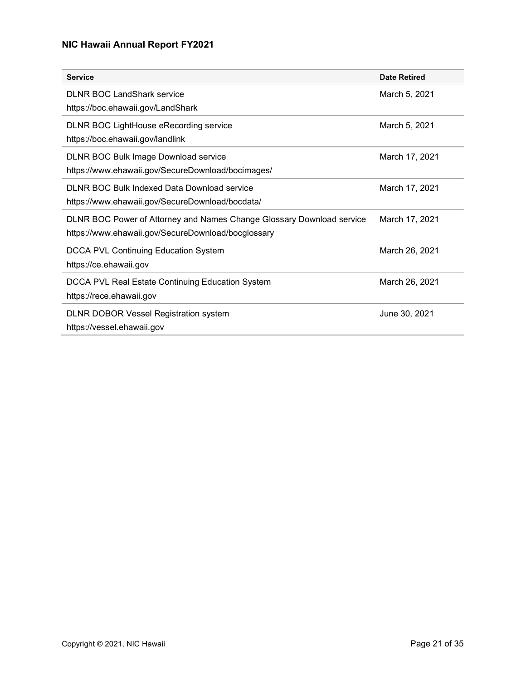| <b>Service</b>                                                                                                              | <b>Date Retired</b> |
|-----------------------------------------------------------------------------------------------------------------------------|---------------------|
| <b>DLNR BOC LandShark service</b><br>https://boc.ehawaii.gov/LandShark                                                      | March 5, 2021       |
| DLNR BOC LightHouse eRecording service<br>https://boc.ehawaii.gov/landlink                                                  | March 5, 2021       |
| DLNR BOC Bulk Image Download service<br>https://www.ehawaii.gov/SecureDownload/bocimages/                                   | March 17, 2021      |
| DLNR BOC Bulk Indexed Data Download service<br>https://www.ehawaii.gov/SecureDownload/bocdata/                              | March 17, 2021      |
| DLNR BOC Power of Attorney and Names Change Glossary Download service<br>https://www.ehawaii.gov/SecureDownload/bocglossary | March 17, 2021      |
| <b>DCCA PVL Continuing Education System</b><br>https://ce.ehawaii.gov                                                       | March 26, 2021      |
| DCCA PVL Real Estate Continuing Education System<br>https://rece.ehawaii.gov                                                | March 26, 2021      |
| <b>DLNR DOBOR Vessel Registration system</b><br>https://vessel.ehawaii.gov                                                  | June 30, 2021       |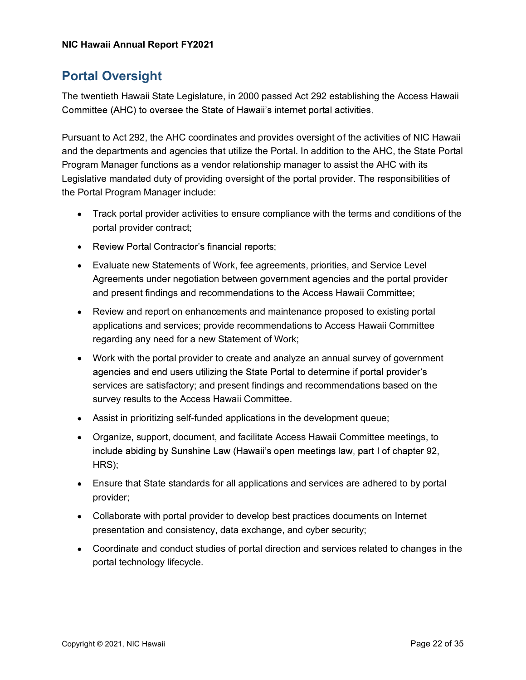### Portal Oversight

The twentieth Hawaii State Legislature, in 2000 passed Act 292 establishing the Access Hawaii Committee (AHC) to oversee the State of Hawaii's internet portal activities.

Pursuant to Act 292, the AHC coordinates and provides oversight of the activities of NIC Hawaii and the departments and agencies that utilize the Portal. In addition to the AHC, the State Portal Program Manager functions as a vendor relationship manager to assist the AHC with its Legislative mandated duty of providing oversight of the portal provider. The responsibilities of the Portal Program Manager include:

- Track portal provider activities to ensure compliance with the terms and conditions of the portal provider contract;
- Review Portal Contractor's financial reports;
- Evaluate new Statements of Work, fee agreements, priorities, and Service Level Agreements under negotiation between government agencies and the portal provider and present findings and recommendations to the Access Hawaii Committee;
- Review and report on enhancements and maintenance proposed to existing portal applications and services; provide recommendations to Access Hawaii Committee regarding any need for a new Statement of Work;
- Work with the portal provider to create and analyze an annual survey of government agencies and end users utilizing the State Portal to determine if portal provider's services are satisfactory; and present findings and recommendations based on the survey results to the Access Hawaii Committee.
- Assist in prioritizing self-funded applications in the development queue;
- Organize, support, document, and facilitate Access Hawaii Committee meetings, to include abiding by Sunshine Law (Hawaii's open meetings law, part I of chapter 92, HRS);
- Ensure that State standards for all applications and services are adhered to by portal provider;
- Collaborate with portal provider to develop best practices documents on Internet presentation and consistency, data exchange, and cyber security;
- Coordinate and conduct studies of portal direction and services related to changes in the portal technology lifecycle.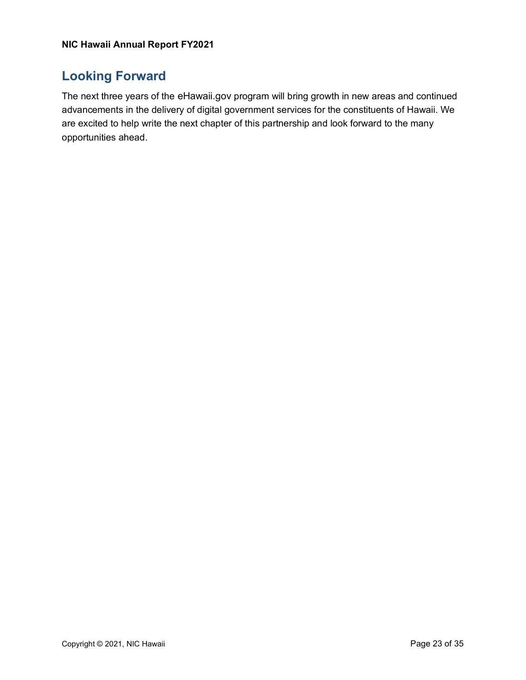### Looking Forward

The next three years of the eHawaii.gov program will bring growth in new areas and continued advancements in the delivery of digital government services for the constituents of Hawaii. We are excited to help write the next chapter of this partnership and look forward to the many opportunities ahead.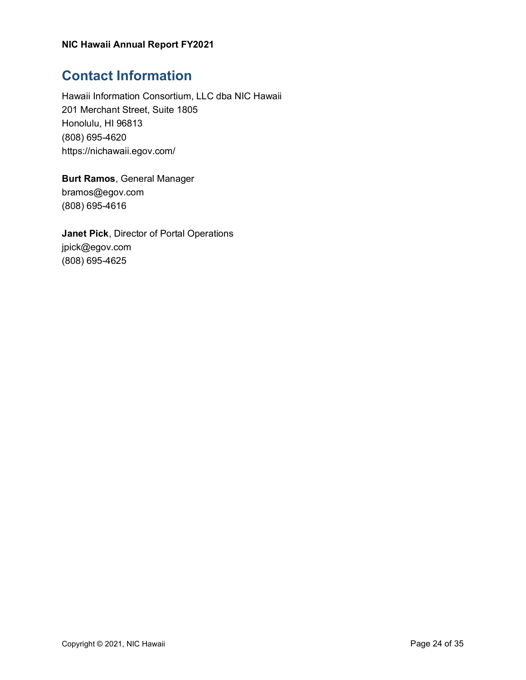# Contact Information

Hawaii Information Consortium, LLC dba NIC Hawaii 201 Merchant Street, Suite 1805 Honolulu, HI 96813 (808) 695-4620 https://nichawaii.egov.com/

Burt Ramos, General Manager bramos@egov.com (808) 695-4616

Janet Pick, Director of Portal Operations jpick@egov.com (808) 695-4625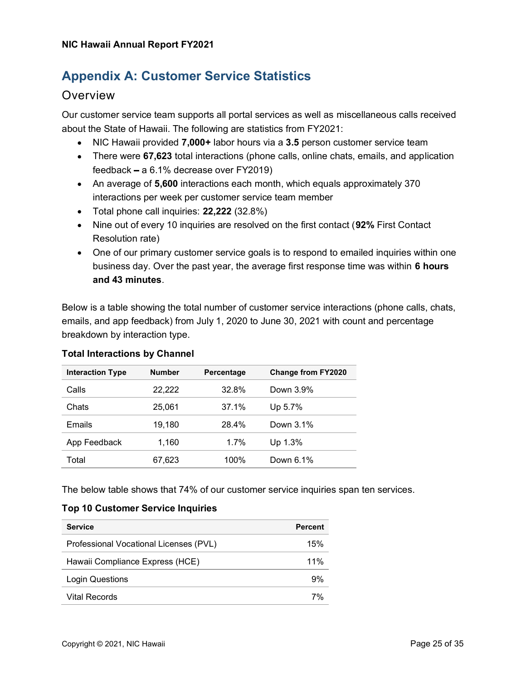## Appendix A: Customer Service Statistics

#### **Overview**

Our customer service team supports all portal services as well as miscellaneous calls received about the State of Hawaii. The following are statistics from FY2021:

- NIC Hawaii provided 7,000+ labor hours via a 3.5 person customer service team
- There were 67,623 total interactions (phone calls, online chats, emails, and application feedback  $-$  a 6.1% decrease over FY2019)
- An average of 5,600 interactions each month, which equals approximately 370 interactions per week per customer service team member
- Total phone call inquiries: 22,222 (32.8%)
- Nine out of every 10 inquiries are resolved on the first contact (92% First Contact Resolution rate)
- One of our primary customer service goals is to respond to emailed inquiries within one business day. Over the past year, the average first response time was within 6 hours and 43 minutes.

Below is a table showing the total number of customer service interactions (phone calls, chats, emails, and app feedback) from July 1, 2020 to June 30, 2021 with count and percentage breakdown by interaction type.

| <b>Interaction Type</b> | <b>Number</b> | Percentage | <b>Change from FY2020</b> |
|-------------------------|---------------|------------|---------------------------|
| Calls                   | 22,222        | 32.8%      | Down 3.9%                 |
| Chats                   | 25.061        | 37.1%      | Up 5.7%                   |
| Emails                  | 19,180        | 28.4%      | Down 3.1%                 |
| App Feedback            | 1,160         | 1.7%       | Up 1.3%                   |
| Total                   | 67,623        | 100%       | Down 6.1%                 |

#### Total Interactions by Channel

The below table shows that 74% of our customer service inquiries span ten services.

#### Top 10 Customer Service Inquiries

| <b>Service</b>                         | <b>Percent</b> |
|----------------------------------------|----------------|
| Professional Vocational Licenses (PVL) | 15%            |
| Hawaii Compliance Express (HCE)        | $11\%$         |
| Login Questions                        | 9%             |
| <b>Vital Records</b>                   | 7%             |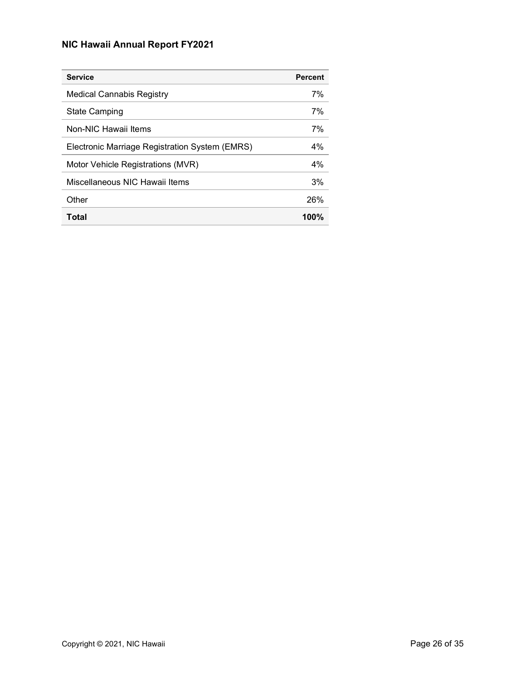| <b>Service</b>                                 | <b>Percent</b> |
|------------------------------------------------|----------------|
| Medical Cannabis Registry                      | 7%             |
| <b>State Camping</b>                           | 7%             |
| Non-NIC Hawaii Items                           | 7%             |
| Electronic Marriage Registration System (EMRS) | 4%             |
| Motor Vehicle Registrations (MVR)              | 4%             |
| Miscellaneous NIC Hawaii Items                 | 3%             |
| Other                                          | 26%            |
| Total                                          | $100\%$        |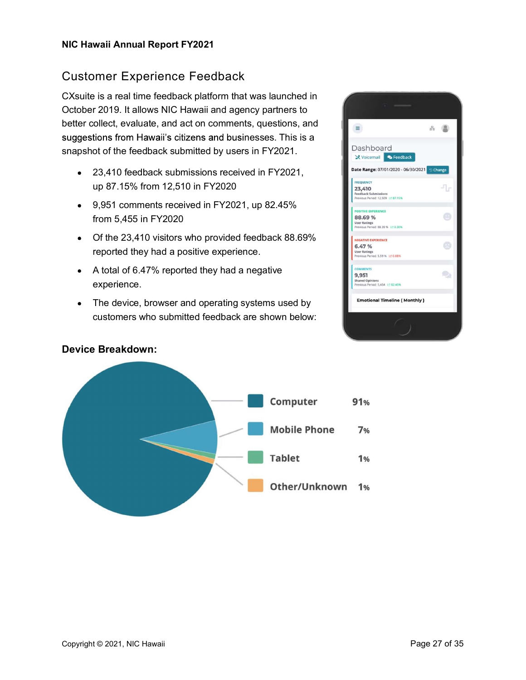### Customer Experience Feedback

CXsuite is a real time feedback platform that was launched in October 2019. It allows NIC Hawaii and agency partners to better collect, evaluate, and act on comments, questions, and suggestions from Hawaii's citizens and businesses. This is a snapshot of the feedback submitted by users in FY2021.

- 23,410 feedback submissions received in FY2021, up 87.15% from 12,510 in FY2020
- 9,951 comments received in FY2021, up 82.45% from 5,455 in FY2020
- Of the 23,410 visitors who provided feedback 88.69% reported they had a positive experience.
- A total of 6.47% reported they had a negative experience.
- The device, browser and operating systems used by customers who submitted feedback are shown below:





#### Device Breakdown: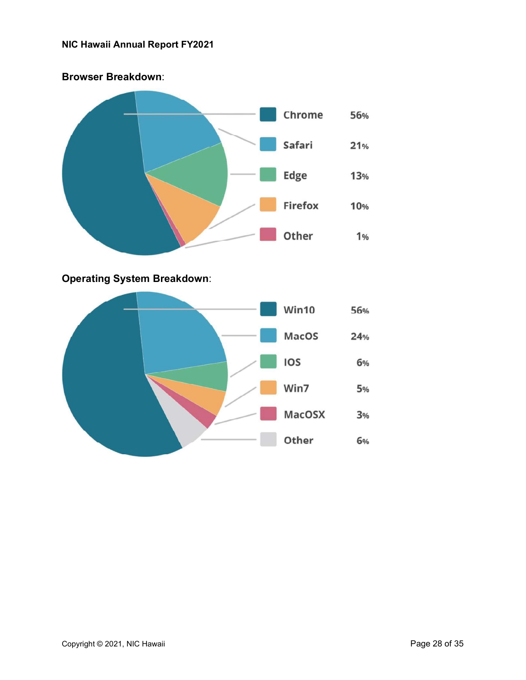

#### Operating System Breakdown:

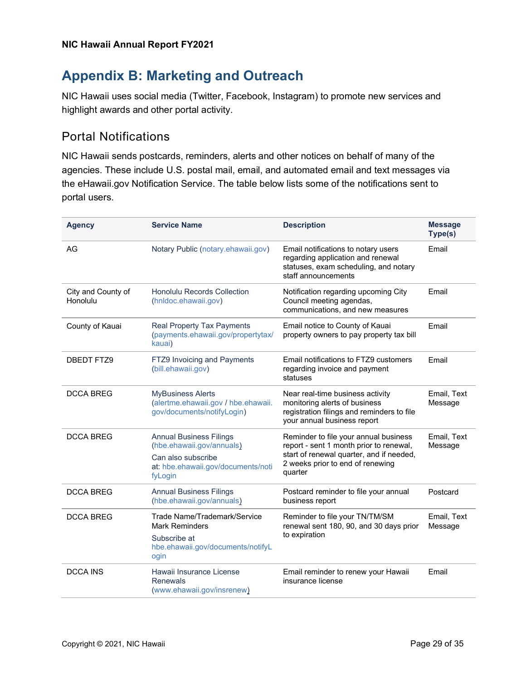# Appendix B: Marketing and Outreach

NIC Hawaii uses social media (Twitter, Facebook, Instagram) to promote new services and highlight awards and other portal activity.

### Portal Notifications

NIC Hawaii sends postcards, reminders, alerts and other notices on behalf of many of the agencies. These include U.S. postal mail, email, and automated email and text messages via the eHawaii.gov Notification Service. The table below lists some of the notifications sent to portal users.

| <b>Agency</b>                  | <b>Service Name</b>                                                                                                                | <b>Description</b>                                                                                                                                                          | <b>Message</b><br>Type(s) |
|--------------------------------|------------------------------------------------------------------------------------------------------------------------------------|-----------------------------------------------------------------------------------------------------------------------------------------------------------------------------|---------------------------|
| AG                             | Notary Public (notary.ehawaii.gov)                                                                                                 | Email notifications to notary users<br>regarding application and renewal<br>statuses, exam scheduling, and notary<br>staff announcements                                    | Email                     |
| City and County of<br>Honolulu | Honolulu Records Collection<br>(hnldoc.ehawaii.gov)                                                                                | Notification regarding upcoming City<br>Council meeting agendas,<br>communications, and new measures                                                                        | Email                     |
| County of Kauai                | Real Property Tax Payments<br>(payments.ehawaii.gov/propertytax/<br>kauai)                                                         | Email notice to County of Kauai<br>property owners to pay property tax bill                                                                                                 | Email                     |
| <b>DBEDT FTZ9</b>              | FTZ9 Invoicing and Payments<br>(bill.ehawaii.gov)                                                                                  | Email notifications to FTZ9 customers<br>regarding invoice and payment<br>statuses                                                                                          | Email                     |
| <b>DCCA BREG</b>               | <b>MyBusiness Alerts</b><br>(alertme.ehawaii.gov / hbe.ehawaii.<br>gov/documents/notifyLogin)                                      | Near real-time business activity<br>monitoring alerts of business<br>registration filings and reminders to file<br>your annual business report                              | Email, Text<br>Message    |
| <b>DCCA BREG</b>               | <b>Annual Business Filings</b><br>(hbe.ehawaii.gov/annuals)<br>Can also subscribe<br>at: hbe.ehawaii.gov/documents/noti<br>fyLogin | Reminder to file your annual business<br>report - sent 1 month prior to renewal,<br>start of renewal quarter, and if needed,<br>2 weeks prior to end of renewing<br>quarter | Email, Text<br>Message    |
| <b>DCCA BREG</b>               | <b>Annual Business Filings</b><br>(hbe.ehawaii.gov/annuals)                                                                        | Postcard reminder to file your annual<br>business report                                                                                                                    | Postcard                  |
| <b>DCCA BREG</b>               | Trade Name/Trademark/Service<br><b>Mark Reminders</b><br>Subscribe at<br>hbe.ehawaii.gov/documents/notifyL<br>ogin                 | Reminder to file your TN/TM/SM<br>Email, Text<br>renewal sent 180, 90, and 30 days prior<br>Message<br>to expiration                                                        |                           |
| <b>DCCA INS</b>                | Hawaii Insurance License<br><b>Renewals</b><br>(www.ehawaii.gov/insrenew)                                                          | Email reminder to renew your Hawaii<br>insurance license                                                                                                                    | Email                     |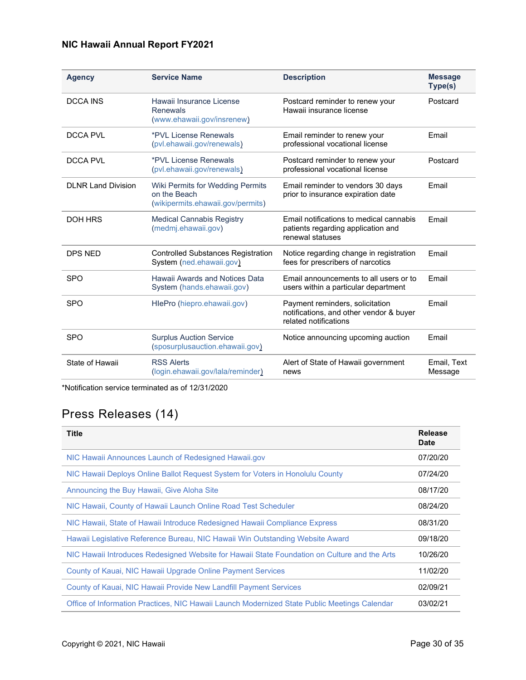| <b>Agency</b>             | <b>Service Name</b>                                                                   | <b>Description</b>                                                                                  | <b>Message</b><br>Type(s) |
|---------------------------|---------------------------------------------------------------------------------------|-----------------------------------------------------------------------------------------------------|---------------------------|
| <b>DCCA INS</b>           | Hawaii Insurance License<br>Renewals<br>(www.ehawaii.gov/insrenew)                    | Postcard reminder to renew your<br>Hawaii insurance license                                         | Postcard                  |
| DCCA PVI                  | *PVL License Renewals<br>(pvl.ehawaii.gov/renewals)                                   | Email reminder to renew your<br>professional vocational license                                     | Fmail                     |
| DCCA PVI                  | *PVL License Renewals<br>(pvl.ehawaii.gov/renewals)                                   | Postcard reminder to renew your<br>professional vocational license                                  | Postcard                  |
| <b>DLNR Land Division</b> | Wiki Permits for Wedding Permits<br>on the Beach<br>(wikipermits.ehawaii.gov/permits) | Email reminder to vendors 30 days<br>prior to insurance expiration date                             | Email                     |
| <b>DOH HRS</b>            | <b>Medical Cannabis Registry</b><br>(medmj.ehawaii.gov)                               | Email notifications to medical cannabis<br>patients regarding application and<br>renewal statuses   | Email                     |
| DPS NFD                   | <b>Controlled Substances Registration</b><br>System (ned.ehawaii.gov)                 | Notice regarding change in registration<br>fees for prescribers of narcotics                        | Fmail                     |
| <b>SPO</b>                | Hawaii Awards and Notices Data<br>System (hands.ehawaii.gov)                          | Email announcements to all users or to<br>users within a particular department                      | Email                     |
| <b>SPO</b>                | HlePro (hiepro.ehawaii.gov)                                                           | Payment reminders, solicitation<br>notifications, and other vendor & buyer<br>related notifications | Email                     |
| <b>SPO</b>                | <b>Surplus Auction Service</b><br>(sposurplusauction.ehawaii.gov)                     | Notice announcing upcoming auction                                                                  | Email                     |
| State of Hawaii           | <b>RSS Alerts</b><br>(login.ehawaii.gov/lala/reminder)                                | Alert of State of Hawaii government<br>news                                                         | Email, Text<br>Message    |

\*Notification service terminated as of 12/31/2020

# Press Releases (14)

| <b>Title</b>                                                                                 | Release<br><b>Date</b> |
|----------------------------------------------------------------------------------------------|------------------------|
| NIC Hawaii Announces Launch of Redesigned Hawaii.gov                                         | 07/20/20               |
| NIC Hawaii Deploys Online Ballot Request System for Voters in Honolulu County                | 07/24/20               |
| Announcing the Buy Hawaii, Give Aloha Site                                                   | 08/17/20               |
| NIC Hawaii, County of Hawaii Launch Online Road Test Scheduler                               | 08/24/20               |
| NIC Hawaii, State of Hawaii Introduce Redesigned Hawaii Compliance Express                   | 08/31/20               |
| Hawaii Legislative Reference Bureau, NIC Hawaii Win Outstanding Website Award                | 09/18/20               |
| NIC Hawaii Introduces Redesigned Website for Hawaii State Foundation on Culture and the Arts | 10/26/20               |
| County of Kauai, NIC Hawaii Upgrade Online Payment Services                                  | 11/02/20               |
| County of Kauai, NIC Hawaii Provide New Landfill Payment Services                            | 02/09/21               |
| Office of Information Practices, NIC Hawaii Launch Modernized State Public Meetings Calendar | 03/02/21               |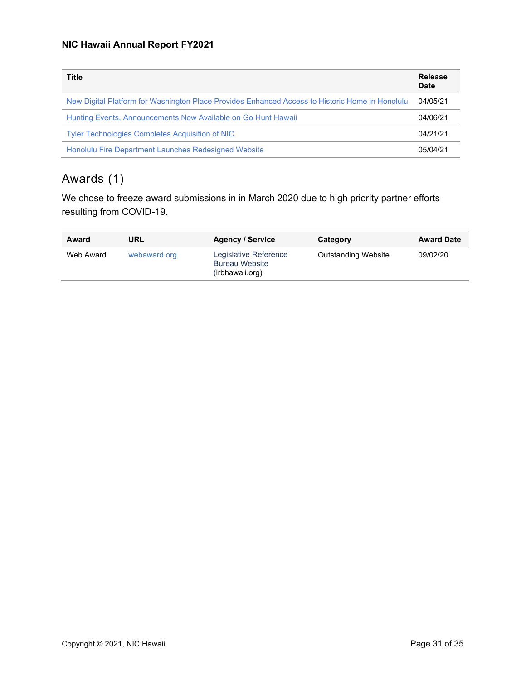| <b>Title</b>                                                                                    | Release<br>Date |
|-------------------------------------------------------------------------------------------------|-----------------|
| New Digital Platform for Washington Place Provides Enhanced Access to Historic Home in Honolulu | 04/05/21        |
| Hunting Events, Announcements Now Available on Go Hunt Hawaii                                   | 04/06/21        |
| <b>Tyler Technologies Completes Acquisition of NIC</b>                                          | 04/21/21        |
| Honolulu Fire Department Launches Redesigned Website                                            | 05/04/21        |

# Awards (1)

We chose to freeze award submissions in in March 2020 due to high priority partner efforts resulting from COVID-19.

| Award     | URL          | <b>Agency / Service</b>                                           | Category                   | <b>Award Date</b> |
|-----------|--------------|-------------------------------------------------------------------|----------------------------|-------------------|
| Web Award | webaward.org | Legislative Reference<br><b>Bureau Website</b><br>(Irbhawaii.org) | <b>Outstanding Website</b> | 09/02/20          |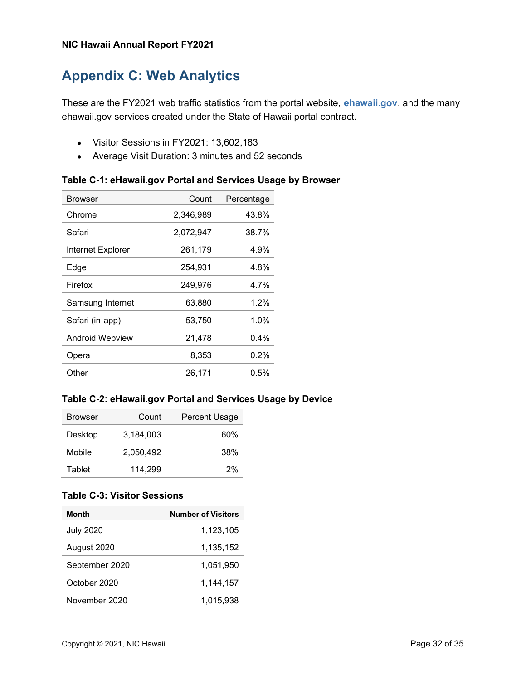# Appendix C: Web Analytics

These are the FY2021 web traffic statistics from the portal website, **ehawaii.gov**, and the many ehawaii.gov services created under the State of Hawaii portal contract.

- Visitor Sessions in FY2021: 13,602,183
- Average Visit Duration: 3 minutes and 52 seconds

| <b>Browser</b>    | Count     | Percentage |
|-------------------|-----------|------------|
| Chrome            | 2,346,989 | 43.8%      |
| Safari            | 2,072,947 | 38.7%      |
| Internet Explorer | 261,179   | 4.9%       |
| Edge              | 254,931   | 4.8%       |
| Firefox           | 249,976   | 4.7%       |
| Samsung Internet  | 63,880    | 1.2%       |
| Safari (in-app)   | 53,750    | 1.0%       |
| Android Webview   | 21,478    | 0.4%       |
| Opera             | 8.353     | $0.2\%$    |
| Other             | 26,171    | 0.5%       |

#### Table C-2: eHawaii.gov Portal and Services Usage by Device

| <b>Browser</b> | Count     | <b>Percent Usage</b> |
|----------------|-----------|----------------------|
| Desktop        | 3.184.003 | 60%                  |
| Mobile         | 2,050,492 | 38%                  |
| Tablet         | 114.299   | 2%                   |

#### Table C-3: Visitor Sessions

| <b>Month</b>     | <b>Number of Visitors</b> |
|------------------|---------------------------|
| <b>July 2020</b> | 1.123.105                 |
| August 2020      | 1,135,152                 |
| September 2020   | 1.051.950                 |
| October 2020     | 1,144,157                 |
| November 2020    | 1,015,938                 |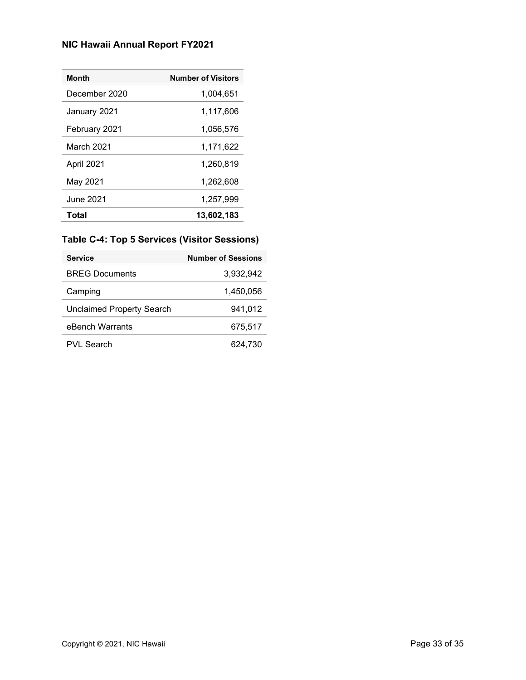| <b>Month</b>  | <b>Number of Visitors</b> |
|---------------|---------------------------|
| December 2020 | 1,004,651                 |
| January 2021  | 1,117,606                 |
| February 2021 | 1,056,576                 |
| March 2021    | 1,171,622                 |
| April 2021    | 1,260,819                 |
| May 2021      | 1,262,608                 |
| June 2021     | 1,257,999                 |
| Total         | 13,602,183                |

### Table C-4: Top 5 Services (Visitor Sessions)

| <b>Service</b>                   | <b>Number of Sessions</b> |
|----------------------------------|---------------------------|
| <b>BREG Documents</b>            | 3,932,942                 |
| Camping                          | 1.450.056                 |
| <b>Unclaimed Property Search</b> | 941,012                   |
| eBench Warrants                  | 675.517                   |
| PVI Search                       | 624.730                   |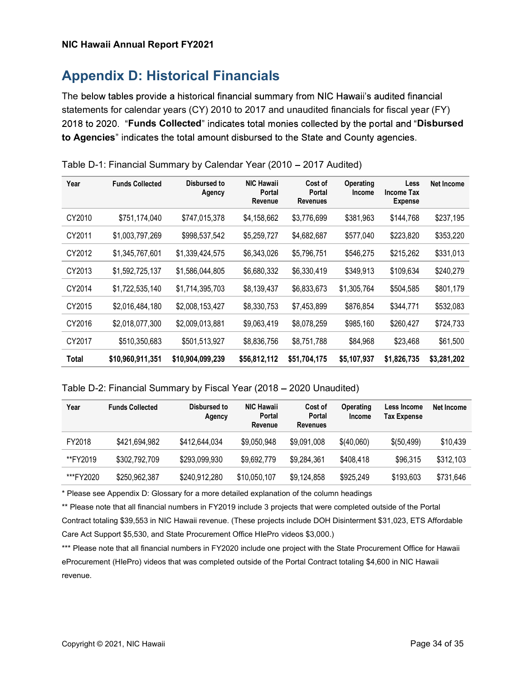# Appendix D: Historical Financials

The below tables provide a historical financial summary from NIC Hawaii's audited financial statements for calendar years (CY) 2010 to 2017 and unaudited financials for fiscal year (FY) 2018 to 2020. "Funds Collected" indicates total monies collected by the portal and "Disbursed to Agencies" indicates the total amount disbursed to the State and County agencies.

| Year   | <b>Funds Collected</b> | Disbursed to<br>Agency | <b>NIC Hawaii</b><br><b>Portal</b><br>Revenue | Cost of<br>Portal<br><b>Revenues</b> | Operating<br>Income | Less<br><b>Income Tax</b><br><b>Expense</b> | <b>Net Income</b> |
|--------|------------------------|------------------------|-----------------------------------------------|--------------------------------------|---------------------|---------------------------------------------|-------------------|
| CY2010 | \$751,174,040          | \$747,015,378          | \$4,158,662                                   | \$3,776,699                          | \$381,963           | \$144,768                                   | \$237,195         |
| CY2011 | \$1,003,797,269        | \$998,537,542          | \$5,259,727                                   | \$4,682,687                          | \$577,040           | \$223,820                                   | \$353,220         |
| CY2012 | \$1,345,767,601        | \$1,339,424,575        | \$6,343,026                                   | \$5,796,751                          | \$546,275           | \$215,262                                   | \$331,013         |
| CY2013 | \$1,592,725,137        | \$1,586,044,805        | \$6,680,332                                   | \$6,330,419                          | \$349,913           | \$109,634                                   | \$240,279         |
| CY2014 | \$1,722,535,140        | \$1,714,395,703        | \$8,139,437                                   | \$6,833,673                          | \$1,305,764         | \$504,585                                   | \$801,179         |
| CY2015 | \$2,016,484,180        | \$2,008,153,427        | \$8,330,753                                   | \$7,453,899                          | \$876,854           | \$344,771                                   | \$532,083         |
| CY2016 | \$2,018,077,300        | \$2,009,013,881        | \$9,063,419                                   | \$8,078,259                          | \$985,160           | \$260,427                                   | \$724,733         |
| CY2017 | \$510,350,683          | \$501,513,927          | \$8,836,756                                   | \$8,751,788                          | \$84,968            | \$23,468                                    | \$61,500          |
| Total  | \$10,960,911,351       | \$10,904,099,239       | \$56,812,112                                  | \$51,704,175                         | \$5,107,937         | \$1,826,735                                 | \$3,281,202       |

Table D-1: Financial Summary by Calendar Year (2010 – 2017 Audited)

#### Table D-2: Financial Summary by Fiscal Year (2018 – 2020 Unaudited)

| Year      | <b>Funds Collected</b> | Disbursed to<br>Agency | <b>NIC Hawaii</b><br>Portal<br>Revenue | Cost of<br>Portal<br><b>Revenues</b> | <b>Operating</b><br><b>Income</b> | Less Income<br><b>Tax Expense</b> | Net Income |
|-----------|------------------------|------------------------|----------------------------------------|--------------------------------------|-----------------------------------|-----------------------------------|------------|
| FY2018    | \$421,694,982          | \$412,644,034          | \$9,050,948                            | \$9,091,008                          | \$(40,060)                        | \$(50,499)                        | \$10,439   |
| **FY2019  | \$302,792,709          | \$293,099,930          | \$9,692,779                            | \$9,284,361                          | \$408,418                         | \$96,315                          | \$312,103  |
| ***FY2020 | \$250,962,387          | \$240.912.280          | \$10,050,107                           | \$9,124,858                          | \$925,249                         | \$193,603                         | \$731,646  |

\* Please see Appendix D: Glossary for a more detailed explanation of the column headings

\*\* Please note that all financial numbers in FY2019 include 3 projects that were completed outside of the Portal Contract totaling \$39,553 in NIC Hawaii revenue. (These projects include DOH Disinterment \$31,023, ETS Affordable Care Act Support \$5,530, and State Procurement Office HIePro videos \$3,000.)

\*\*\* Please note that all financial numbers in FY2020 include one project with the State Procurement Office for Hawaii eProcurement (HIePro) videos that was completed outside of the Portal Contract totaling \$4,600 in NIC Hawaii revenue.